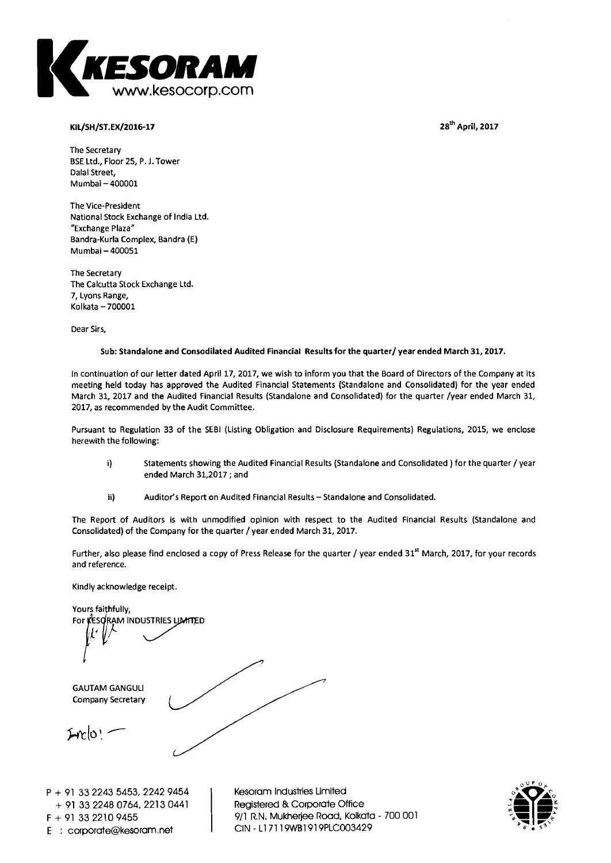**28<sup>th</sup> April, 2017** 



#### **KIL/SH/ST.EX/2016-17**

**The Secretary BSE Ltd., Floor 25, P. J. Tower Dalai Street, Mumbai — 400001** 

**The Vice-President National Stock Exchange of India Ltd. "Exchange Plaza" Bandra-Kurla Complex, Bandra (E) Mumbai — 400051** 

**The Secretary The Calcutta Stock Exchange Ltd. 7, Lyons Range, Kolkata —700001** 

**Dear Sirs,** 

#### **Sub: Standalone and Consodilated Audited Financial Results for the quarter/ year ended March 31, 2017.**

**In continuation of our letter dated April 17, 2017, we wish to inform you that the Board of Directors of the Company at its meeting held today has approved the Audited Financial Statements (Standalone and Consolidated) for the year ended March 31, 2017 and the Audited Financial Results (Standalone and Consolidated) for the quarter /year ended March 31, 2017, as recommended by the Audit Committee.** 

**Pursuant to Regulation 33 of the SEBI (Listing Obligation and Disclosure Requirements) Regulations, 2015, we enclose herewith the following:** 

- **i) Statements showing the Audited Financial Results (Standalone and Consolidated ) for the quarter / year**  ended March 31,2017 ; and
- **ii) Auditor's Report on Audited Financial Results—Standalone and Consolidated.**

**The Report of Auditors is with unmodified opinion with respect to the Audited Financial Results (Standalone and Consolidated) of the Company for the quarter / year ended March 31, 2017.** 

Further, also please find enclosed a copy of Press Release for the quarter / year ended 31<sup>st</sup> March, 2017, for your records **and reference.** 

**Kindly acknowledge receipt.** 

**Yours faithfully, For KESORAM INDUSTRIES LIMITED GAUTAM GANGULI Company Secretary**   $I$ mlo $=$ 

**P + 91 33 2243 5453, 2242 9454 + 91 33 2248 0764, 2213 0441 F + 91 33 2210 9455 E : corporategkesoram.net** 

**Kesoram Industries Limited Registered & Corporate Office 9/1 R.N. Mukherjee Road, Kolkata - 700 001 CIN - Ll 7119WB1919PLC003429** 

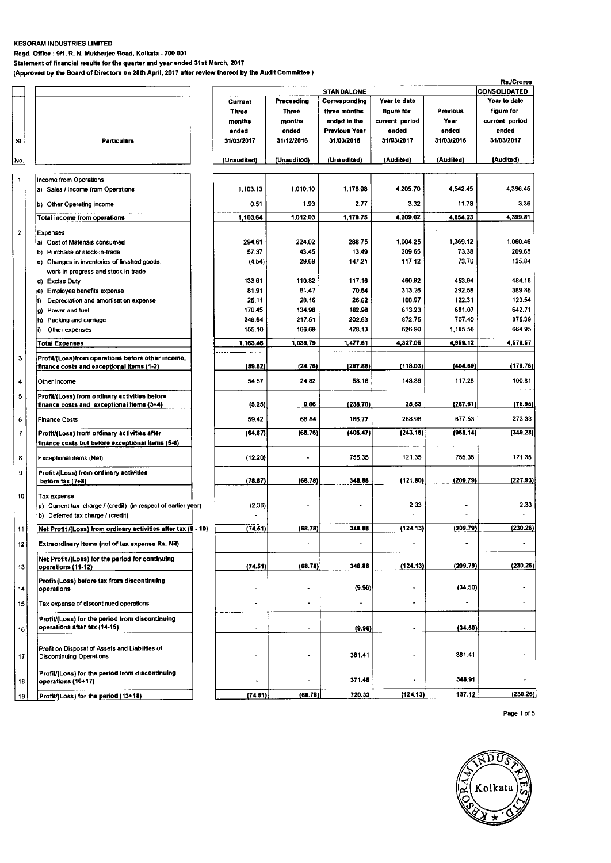#### **KESORAM INDUSTRIES LIMITED**

**Regd. Office : 9/1, R. N. Mukherjee Road, Kolkata - 700 001** 

**Statement of financial results for the quarter and year ended 31st March, 2017 (Approved by the Board of Directors on 28th April, 2017 after review thereof by the Audit Committee )** 

|                         |                                                                                                |                |                |                   |                |            | <b>Rs./Crores</b>   |
|-------------------------|------------------------------------------------------------------------------------------------|----------------|----------------|-------------------|----------------|------------|---------------------|
|                         |                                                                                                |                |                | <b>STANDALONE</b> |                |            | <b>CONSOLIDATED</b> |
|                         |                                                                                                | <b>Current</b> | Preceeding     | Corresponding     | Year to date   |            | Year to date        |
|                         |                                                                                                | Three          | <b>Three</b>   | three months      | figure for     | Previous   | figure for          |
|                         |                                                                                                | months         | months         | ended in the      | current period | Year       | current period      |
|                         |                                                                                                | ended          | ended          | Previous Year     | ended          | ended      | ended               |
| SI.                     | <b>Particulars</b>                                                                             | 31/03/2017     | 31/12/2016     | 31/03/2016        | 31/03/2017     | 31/03/2016 | 31/03/2017          |
|                         |                                                                                                |                |                |                   |                |            |                     |
| No.                     |                                                                                                | (Unaudited)    | (Unauditod)    | (Unaudited)       | (Audited)      | (Audited)  | (Audited)           |
|                         |                                                                                                |                |                |                   |                |            |                     |
| $\mathbf{1}$            | Income from Operations                                                                         |                |                |                   | 4,205.70       | 4,542.45   | 4,396.45            |
|                         | a) Sales / Income from Operations                                                              | 1,103.13       | 1,010.10       | 1,176.98          |                |            |                     |
|                         | b) Other Operating income                                                                      | 0.51           | 1.93           | 2.77              | 3.32           | 11.78      | 3.36                |
|                         | Total income from operations                                                                   | 1,103.64       | 1,012.03       | 1,179.75          | 4,209.02       | 4,554.23   | 4,399.81            |
| $\overline{\mathbf{2}}$ | Expenses                                                                                       |                |                |                   |                |            |                     |
|                         | a) Cost of Materials consumed                                                                  | 294.61         | 224.02         | 288.75            | 1,004.25       | 1,369.12   | 1,060.46            |
|                         | b) Purchase of stock-in-trade                                                                  | 57.37          | 43.45          | 13.49             | 209.65         | 73.38      | 209.65              |
|                         | c) Changes in inventories of finished goods,                                                   | (4.54)         | 29.69          | 147.21            | 117.12         | 73.76      | 125.84              |
|                         | work-in-progress and stock-in-trade                                                            |                |                |                   |                |            |                     |
|                         | d) Excise Duty                                                                                 | 133.61         | 110.82         | 117.16            | 460.92         | 453.94     | 484.18              |
|                         | e) Employee benefits expense                                                                   | 81.91          | 81.47          | 70.64             | 313.26         | 292.58     | 389.85              |
|                         | Depreciation and amortisation expense                                                          | 25.11          | 28.16          | 26.62             | 108.97         | 122.31     | 123.54              |
|                         | Power and fuel<br>g)                                                                           | 170.45         | 134.98         | 182.98            | 613.23         | 681.07     | 642.71              |
|                         | h) Packing and carriage                                                                        | 249.64         | 217.51         | 202.63            | 872.75         | 707.40     | 875.39              |
|                         | Other expenses<br>i).                                                                          | 155.10         | 166.69         | 428.13            | 626.90         | 1,185.56   | 664.95              |
|                         |                                                                                                |                |                |                   |                |            |                     |
|                         | Total Expenses                                                                                 | 1,163.46       | 1,036.79       | 1,477.61          | 4,327.05       | 4,959.12   | 4,576.57            |
| 3                       | Profit/(Loss)from operations before other income,<br>finance costs and exceptional items (1-2) | (59.82)        | (24.76)        | (297.86)          | (118.03)       | (404.69)   | (176.76)            |
| 4                       | Other income                                                                                   | 54.57          | 24.82          | 58.16             | 143.86         | 117.28     | 100.81              |
|                         |                                                                                                |                |                |                   |                |            |                     |
| 5                       | Profit/(Loss) from ordinary activities before<br>finance costs and exceptional items (3+4)     | (5.25)         | 0.06           | (238.70)          | 25.83          | (287.61)   | (75.95)             |
| 6                       | <b>Finance Costs</b>                                                                           | 59.42          | 68.84          | 166.77            | 268.98         | 677.53     | 273,33              |
| $\overline{7}$          | Profit/(Loss) from ordinary activities after                                                   | (64.87)        | (68, 76)       | (406.47)          | (243.15)       | (965, 14)  | (349.28)            |
|                         | finance costs but before exceptional items (5-6)                                               |                |                |                   |                |            |                     |
| 8                       | Exceptional items (Net)                                                                        | (12.20)        |                | 755.35            | 121.35         | 755.35     | 121.35              |
| 9                       |                                                                                                |                |                |                   |                |            |                     |
|                         | Profit /(Loss) from ordinary activities<br>before tax (7+8)                                    | (78.87)        | (68.78)        | 348.88            | (121.80)       | (209.79)   | (227.93)            |
|                         |                                                                                                |                |                |                   |                |            |                     |
| 10                      | Tax expense                                                                                    |                |                |                   | 2.33           |            | 2.33                |
|                         | a) Current tax charge / (credit) (in respect of earlier year)                                  | (2.36)         |                |                   |                |            |                     |
|                         | b) Deferred tax charge / (credit)                                                              |                |                |                   |                |            |                     |
| 11                      | Net Profit /(Loss) from ordinary activities after tax (9 - 10)                                 | (74.51)        | (68.78)        | 348.88            | (124.13)       | (209.79)   | (230.26)            |
| $12 \,$                 | Extraordinary items (net of tax expense Rs. Nil)                                               |                |                |                   | $\sim$         |            |                     |
|                         | Net Profit /(Loss) for the period for continuing                                               | (74.51)        | (68.78)        | 348.88            | (124.13)       | (209.79)   | (230.26)            |
| 13                      | operations (11-12)                                                                             |                |                |                   |                |            |                     |
| 14                      | Profit/(Loss) before tax from discontinuing<br>operations                                      |                |                | (9.96)            |                | (34.50)    |                     |
| 15                      | Tax expense of discontinued operetions                                                         |                | $\blacksquare$ |                   |                |            | $\blacksquare$      |
|                         | Profit/(Loss) for the period from discontinuing                                                |                |                |                   |                |            |                     |
| 16                      | operations after tax (14-15)                                                                   | ä.             | ٠              | (9.96)            | ۰              | (34.50)    |                     |
|                         |                                                                                                |                |                |                   |                |            |                     |
| 17                      | Profit on Disposal of Assets and Liabilities of<br><b>Discontinuing Operations</b>             |                |                | 381.41            |                | 381.41     |                     |
|                         |                                                                                                |                |                |                   |                |            |                     |
| 18                      | Profit/(Loss) for the period from discontinuing<br>operations (16+17)                          |                |                | 371.46            |                | 348.91     |                     |
| 19                      | Profit/(Loss) for the period (13+18)                                                           | (74.51)        | (68.78)        | 720.33            | (124.13)       | 137.12     | (230.26)            |

Page 1 of 5

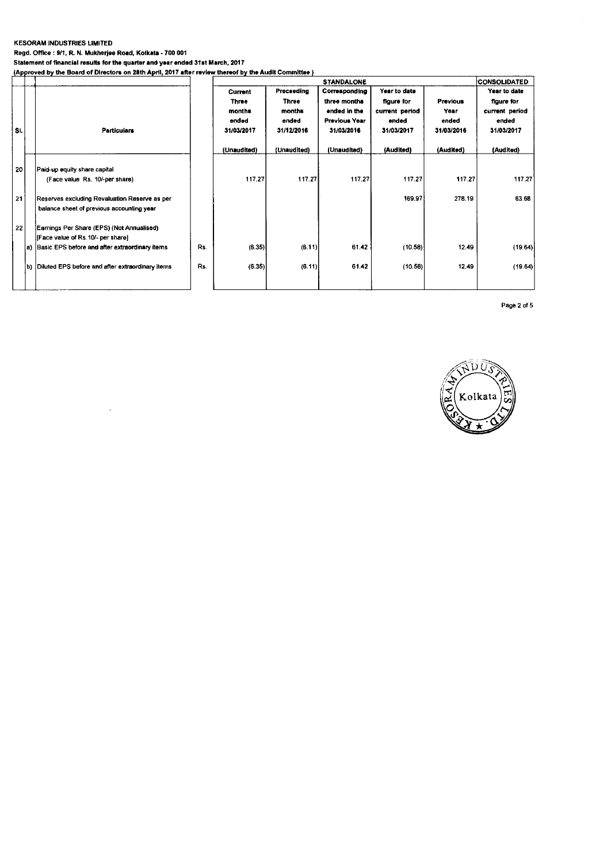#### **KESORAM INDUSTRIES LIMITED**

**Regd. Office : 9/1, R. N. Mukherjee Road, Kolkata - 700 001 Statement of financial results for the quarter and year ended 31st March, 2017** 

**IApproved by the Board of Directors on 28th April, 2017 after review thereof by the Audit Committee)** 

|     |     |                                                                                            |     | <b>STANDALONE</b>                                        |                                                             |                                                                                     |                                                                     |                                                | <b>CONSOLIDATED</b>                                                 |
|-----|-----|--------------------------------------------------------------------------------------------|-----|----------------------------------------------------------|-------------------------------------------------------------|-------------------------------------------------------------------------------------|---------------------------------------------------------------------|------------------------------------------------|---------------------------------------------------------------------|
| Si. |     | <b>Particulars</b>                                                                         |     | <b>Current</b><br>Three<br>months<br>ended<br>31/03/2017 | Preceeding<br><b>Three</b><br>months<br>ended<br>31/12/2016 | Corresponding<br>three months<br>ended in the<br><b>Previous Year</b><br>31/03/2016 | Year to date<br>figure for<br>current period<br>ended<br>31/03/2017 | <b>Previous</b><br>Year<br>ended<br>31/03/2016 | Year to date<br>figure for<br>current period<br>ended<br>31/03/2017 |
|     |     |                                                                                            |     | (Unaudited)                                              | (Unaudited)                                                 | (Unaudited)                                                                         | (Audited)                                                           | (Audited)                                      | (Audited)                                                           |
|     | 20  | Paid-up equity share capital<br>(Face value Rs. 10/-per share)                             |     | 117.27                                                   | 117.27                                                      | 117.27                                                                              | 117.27                                                              | 117.27                                         | 117.27                                                              |
|     | 21  | Reserves excluding Revaluation Reserve as per<br>balance sheet of previous accounting year |     |                                                          |                                                             |                                                                                     | 169.97                                                              | 278.19                                         | 63.68                                                               |
|     | 22  | Earnings Per Share (EPS) (Not Annualised)<br>[Face value of Rs.10/- per share]             |     |                                                          |                                                             |                                                                                     |                                                                     |                                                |                                                                     |
|     | ia) | Basic EPS before and after extraordinary items                                             | Rs. | (6.35)                                                   | (6.11)                                                      | 61.42                                                                               | (10.58)                                                             | 12.49                                          | (19.64)                                                             |
|     |     | b) Diluted EPS before and after extraordinary items                                        | Rs. | (6.35)                                                   | (6.11)                                                      | 61.42                                                                               | (10.58)                                                             | 12.49                                          | (19.64)                                                             |

Page 2 of 5

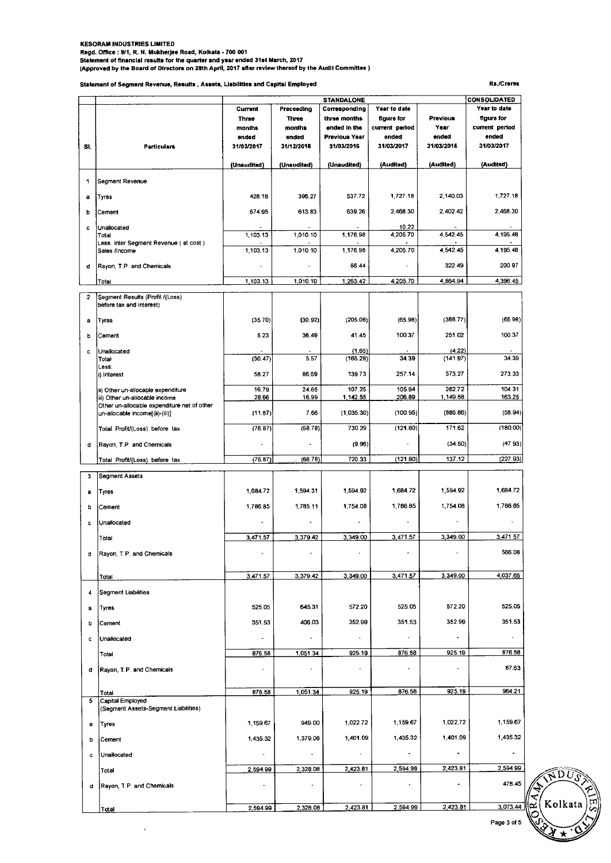# KESORAM INDUSTRIES LIMITED<br>Regd. Office : 9/1, R. N. Mukherjee Road, Kolkata - 700 001<br>Statement of financial results for the quarter and year ended 31st March, 2017<br>(Approved by the Board of Directors on 28th April, 2017

**Statement of Segment Revenue, Results , Assets, Liabilities and Capital Employed Rs./Crores** 

 $\ddot{\phantom{1}}$ 

|              |                                                                                | <b>STANDALONE</b>        |                |                      |                   |                    | <b>CONSOLIDATED</b>                |
|--------------|--------------------------------------------------------------------------------|--------------------------|----------------|----------------------|-------------------|--------------------|------------------------------------|
|              |                                                                                | Current                  | Preceeding     | Corresponding        | Year to date      |                    | Year to date                       |
|              |                                                                                | Three                    | <b>Three</b>   | three months         | figure for        | <b>Previous</b>    | figure for                         |
|              |                                                                                | months                   | months         | ended in the         | current period    | Year               | current period                     |
|              |                                                                                | ended                    | ended          | Previous Year        | ended             | ended              | ended                              |
| SI.          | <b>Particulars</b>                                                             | 31/03/2017               | 31/12/2016     | 31/03/2016           | 31/03/2017        | 31/03/2016         | 31/03/2017                         |
|              |                                                                                | (Unaudited)              | (Unaudited)    | (Unaudited)          | (Audited)         | (Audited)          | (Audited)                          |
| 1            | Segment Revenue                                                                |                          |                |                      |                   |                    |                                    |
| a            | Tyres                                                                          | 428.18                   | 396.27         | 537.72               | 1,727.18          | 2,140.03           | 1,727.18                           |
| b            | Cement                                                                         | 674.95                   | 613.83         | 639.26               | 2,468.30          | 2,402.42           | 2,468.30                           |
| c            | Unallocated<br>Total                                                           | 1,103.13                 | 1,010.10       | 1.176.98             | 10.22<br>4,205.70 | 4.542.45           | 4,195.48                           |
|              | Less: Inter Segment Revenue ( et cost )<br>Sales /Income                       | 1,103.13                 | 1,010.10       | 1,176.98             | 4,205.70          | 4 5 4 2 4 5        | 4,195.48                           |
| d            | Rayon, T.P. and Chemicals                                                      |                          |                | 86.44                |                   | 322.49             | 200.97                             |
|              | Totol                                                                          | 1,103.13                 | 1,010.10       | 1,263.42             | 4,205.70          | 4,864.94           | 4,396.45                           |
| $\mathbf{2}$ | Segment Results (Profit /(Loss)<br>before tax and interest)                    |                          |                |                      |                   |                    |                                    |
| a            | Tyres                                                                          | (35.70)                  | (30.92)        | (205.08)             | (65.98)           | (388.77)           | (65.98)                            |
| Þ            | Cernent                                                                        | 5.23                     | 36.49          | 41.45                | 100.37            | 251.02             | 100.37                             |
| c            | Unallocated<br>Total                                                           | (30.47)                  | 5.57           | (1.65)<br>(165.28)   | 34.39             | (4.22)<br>(141.97) | 34.39                              |
|              | Less:<br>i) Interest                                                           | 58.27                    | 86.69          | 139.73               | 257.14            | 573.27             | 273.33                             |
|              | ii) Other un-allocable expenditure<br>iii) Other un-allocable income           | 16.79<br>28.66           | 24.65<br>16.99 | 107.25<br>1,142.55   | 105.94<br>206.89  | 262.72<br>1,149.58 | 104.31<br>163.25                   |
|              | Other un-allocable expenditure net of other<br>un-allocable income[(ii)-(iii)] | (11.87)                  | 7.66           | (1,035.30)           | (100.95)          | (886.86)           | (58.94)                            |
|              | Total Profit/(Loss) before tax                                                 | (76.87)                  | (68.78)        | 730.29               | (121.80)          | 171.62             | (180.00)                           |
| d            | Rayon, T.P. and Chemicals                                                      |                          |                | (9.96)               |                   | (34.50)            | (47.93)                            |
|              | Total Profit/(Loss) before tax                                                 | (76.87)                  | (68.78)        | 720.33               | (121.80)          | 137.12             | (227.93)                           |
| 3            | Segment Assets                                                                 |                          |                |                      |                   |                    |                                    |
| а            | Tyres                                                                          | 1,684.72                 | 1.594.31       | 1,594.92             | 1,684.72          | 1,594.92           | 1,684.72                           |
| b            | Cement                                                                         | 1,786.85                 | 1,785.11       | 1,754.08             | 1,786.85          | 1,754.08           | 1,786.85                           |
| с            | Unallocated                                                                    |                          |                |                      |                   |                    |                                    |
|              | Total                                                                          | 3,471.57                 | 3,379.42       | 3,349.00             | 3,471.57          | 3,349.00           | 3,471.57                           |
|              | Rayon, T.P. and Chemicals                                                      |                          |                |                      |                   |                    | 566.08                             |
|              | Total                                                                          | 3,471.57                 | 3,379.42       | 3,349.00             | 3,471.57          | 3,349.00           | 4,037.65                           |
| 4            | Segment Liabilities                                                            |                          |                |                      |                   |                    |                                    |
| а            | Tyres                                                                          | 525.05                   | 645.31         | 572.20               | 525.05            | 572.20             | 525.05                             |
| b            | Cement                                                                         | 351.53                   | 406.03         | 352.99               | 351.53            | 352.99             | 351.53                             |
| c            | Unallocated                                                                    | $\bullet$                |                | $\ddot{\phantom{0}}$ |                   |                    | $\overline{\phantom{a}}$<br>876.58 |
|              | Total                                                                          | 876.58<br>$\blacksquare$ | 1,051.34       | 925.19<br>ä,         | 876.58            | 925.19             | 87.63                              |
| d            | Rayon, T.P. and Chemicals                                                      |                          |                |                      |                   |                    |                                    |
|              | Total                                                                          | 876.58                   | 1,051.34       | 925.19               | 876.58            | 925.19             | 964.21                             |
| 5            | Capital Employed<br>(Segment Assets-Segment Liabilities)                       |                          |                |                      |                   |                    |                                    |
| а            | Tyres                                                                          | 1,159.67                 | 949.00         | 1,022.72             | 1,159.67          | 1,022.72           | 1,159.67                           |
| b            | Cement                                                                         | 1,435.32                 | 1,379.08       | 1,401.09             | 1,435.32          | 1,401.09           | 1,435.32                           |
| c            | Unallocated                                                                    | $\overline{\phantom{a}}$ | $\overline{a}$ |                      |                   |                    | $\overline{\phantom{a}}$           |
|              | Total                                                                          | 2,594.99                 | 2,328.08<br>٠  | 2,423.81             | 2,594.99          | 2,423.81           | 2,594.99<br>478.45                 |
| d            | Rayon, T.P. and Chemicals                                                      | $\blacksquare$           |                |                      |                   |                    |                                    |
|              | <u>Total</u>                                                                   | 2,594.99                 | 2,328.08       | 2,423.81             | 2,594.99          | 2,423.81           | 3,073.44                           |

Page 3 of 5

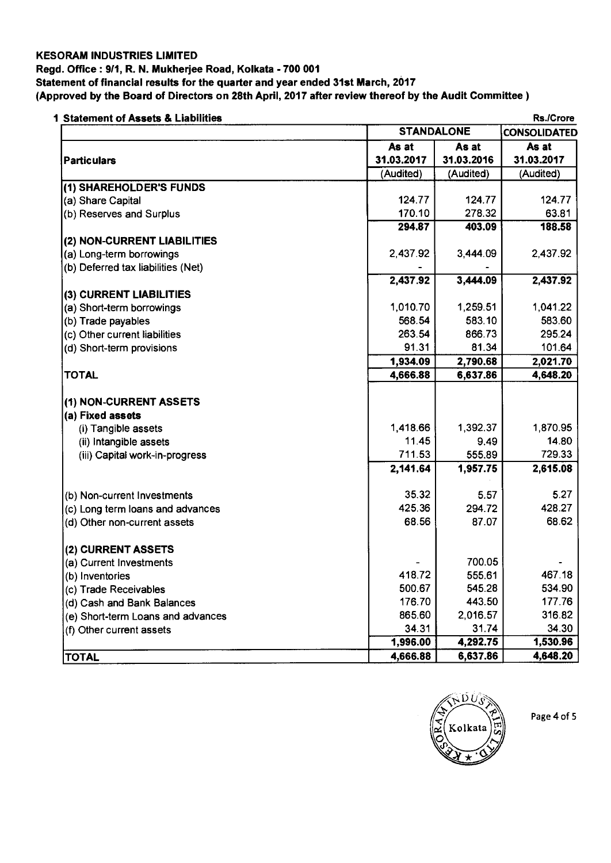#### **KESORAM INDUSTRIES LIMITED**

#### **Regd. Office : 9/1, R. N. Mukherjee Road, Kolkata - 700 001**

**Statement of financial results for the quarter and year ended 31st March, 2017** 

**(Approved by the Board of Directors on 28th April, 2017 after review thereof by the Audit Committee )** 

| 1 Statement of Assets & Liabilities |            |                   | <b>Rs./Crore</b> |  |
|-------------------------------------|------------|-------------------|------------------|--|
|                                     |            | <b>STANDALONE</b> |                  |  |
|                                     | As at      | As at             | As at            |  |
| <b>Particulars</b>                  | 31.03.2017 | 31.03.2016        | 31.03.2017       |  |
|                                     | (Audited)  | (Audited)         | (Audited)        |  |
| (1) SHAREHOLDER'S FUNDS             |            |                   |                  |  |
| (a) Share Capital                   | 124.77     | 124.77            | 124.77           |  |
| (b) Reserves and Surplus            | 170.10     | 278.32            | 63.81            |  |
|                                     | 294.87     | 403.09            | 188.58           |  |
| (2) NON-CURRENT LIABILITIES         |            |                   |                  |  |
| (a) Long-term borrowings            | 2,437.92   | 3,444.09          | 2,437.92         |  |
| (b) Deferred tax liabilities (Net)  |            |                   |                  |  |
|                                     | 2,437.92   | 3,444.09          | 2,437.92         |  |
| (3) CURRENT LIABILITIES             |            |                   |                  |  |
| (a) Short-term borrowings           | 1,010.70   | 1,259.51          | 1,041.22         |  |
| (b) Trade payables                  | 568.54     | 583.10            | 583.60           |  |
| (c) Other current liabilities       | 263.54     | 866.73            | 295.24           |  |
| (d) Short-term provisions           | 91.31      | 81.34             | 101.64           |  |
|                                     | 1,934.09   | 2,790.68          | 2,021.70         |  |
| <b>TOTAL</b>                        | 4,666.88   | 6,637.86          | 4,648.20         |  |
|                                     |            |                   |                  |  |
| (1) NON-CURRENT ASSETS              |            |                   |                  |  |
| (a) Fixed assets                    |            |                   |                  |  |
| (i) Tangible assets                 | 1,418.66   | 1,392.37          | 1,870.95         |  |
| (ii) Intangible assets              | 11.45      | 9.49              | 14.80            |  |
| (iii) Capital work-in-progress      | 711.53     | 555.89            | 729.33           |  |
|                                     | 2,141.64   | 1,957.75          | 2,615.08         |  |
| (b) Non-current Investments         | 35.32      | 5.57              | 5.27             |  |
| (c) Long term loans and advances    | 425.36     | 294.72            | 428.27           |  |
| (d) Other non-current assets        | 68.56      | 87.07             | 68.62            |  |
|                                     |            |                   |                  |  |
| (2) CURRENT ASSETS                  |            |                   |                  |  |
| (a) Current Investments             |            | 700.05            |                  |  |
| (b) Inventories                     | 418.72     | 555.61            | 467.18           |  |
| (c) Trade Receivables               | 500.67     | 545.28            | 534.90           |  |
| (d) Cash and Bank Balances          | 176.70     | 443.50            | 177.76           |  |
| (e) Short-term Loans and advances   | 865.60     | 2,016.57          | 316.82           |  |
| (f) Other current assets            | 34.31      | 31.74             | 34.30            |  |
|                                     | 1,996.00   | 4,292.75          | 1,530.96         |  |
| <b>TOTAL</b>                        | 4,666.88   | 6,637.86          | 4,648.20         |  |



Page 4 of 5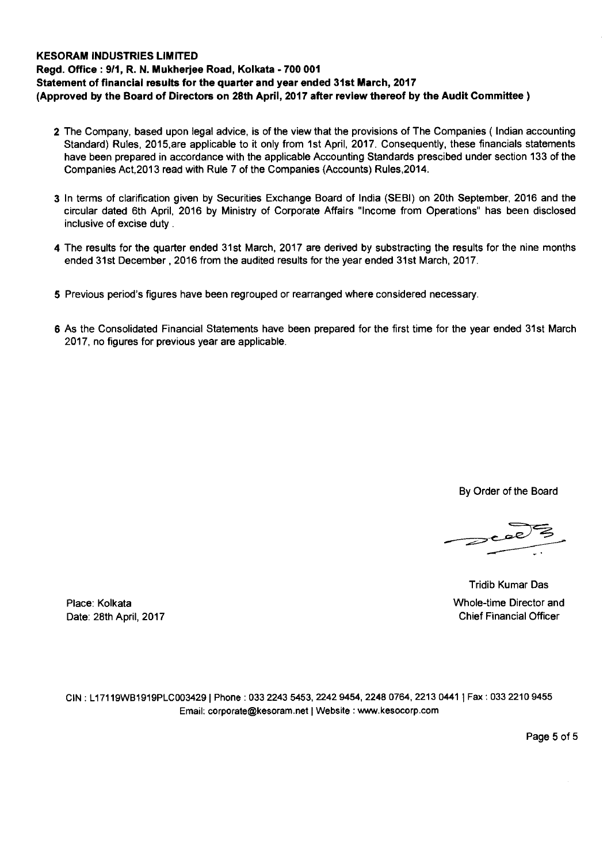#### **KESORAM INDUSTRIES LIMITED Regd. Office : 9/1, R. N. Mukherjee Road, Kolkata - 700 001 Statement of financial results for the quarter and year ended 31st March, 2017 (Approved by the Board of Directors on 28th April, 2017 after review thereof by the Audit Committee )**

- **2** The Company, based upon legal advice, is of the view that the provisions of The Companies ( Indian accounting Standard) Rules, 2015,are applicable to it only from 1st April, 2017. Consequently, these financials statements have been prepared in accordance with the applicable Accounting Standards prescibed under section 133 of the Companies Act,2013 read with Rule 7 of the Companies (Accounts) Rules,2014.
- **3** In terms of clarification given by Securities Exchange Board of India (SEBI) on 20th September, 2016 and the circular dated 6th April, 2016 by Ministry of Corporate Affairs "Income from Operations" has been disclosed inclusive of excise duty .
- **4** The results for the quarter ended 31st March, 2017 are derived by substracting the results for the nine months ended 31st December , 2016 from the audited results for the year ended 31st March, 2017.
- **5** Previous period's figures have been regrouped or rearranged where considered necessary.
- **6** As the Consolidated Financial Statements have been prepared for the first time for the year ended 31st March 2017, no figures for previous year are applicable.

By Order of the Board

Tridib Kumar Das Place: Kolkata Whole-time Director and Date: 28th April, 2017 Chief Financial Officer

CIN : L17119WB1919PLC003429 I Phone : 033 2243 5453, 2242 9454, 2248 0764, 2213 0441 1 Fax : 033 2210 9455 Email: corporate@kesoram.net | Website : www.kesocorp.com

Page 5 of 5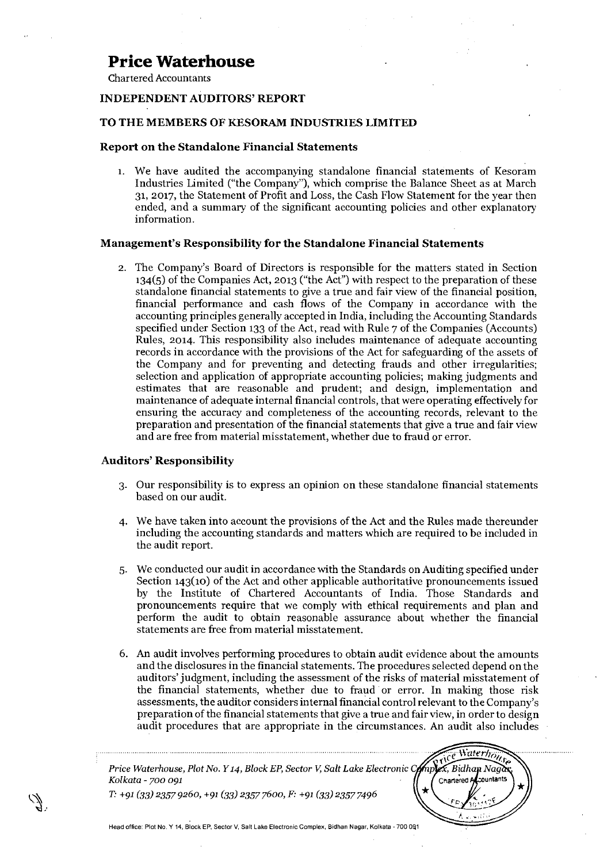Chartered Accountants

#### **INDEPENDENT AUDITORS' REPORT**

#### **TO THE MEMBERS OF KESORAM INDUSTRIES LIMITED**

#### **Report on the Standalone Financial Statements**

1. We have audited the accompanying standalone financial statements of Kesoram Industries Limited ("the Company"), which comprise the Balance Sheet as at March 31, 2017, the Statement of Profit and Loss, the Cash Flow Statement for the year then ended, and a summary of the significant accounting policies and other explanatory information.

#### **Management's Responsibility for the Standalone Financial Statements**

2. The Company's Board of Directors is responsible for the matters stated in Section 134(5) of the Companies Act, 2013 ("the Act") with respect to the preparation of these standalone financial statements to give a true and fair view of the financial position, financial performance and cash flows of the Company in accordance with the accounting principles generally accepted in India, including the Accounting Standards specified under Section 133 of the Act, read with Rule 7 of the Companies (Accounts) Rules, 2014. This responsibility also includes maintenance of adequate accounting records in accordance with the provisions of the Act for safeguarding of the assets of the Company and for preventing and detecting frauds and other irregularities; selection and application of appropriate accounting policies; making judgments and estimates that are reasonable and prudent; and design, implementation and maintenance of adequate internal financial controls, that were operating effectively for ensuring the accuracy and completeness of the accounting records, relevant to the preparation and presentation of the financial statements that give a true and fair view and are free from material misstatement, whether due to fraud or error.

#### **Auditors' Responsibility**

- 3. Our responsibility is to express an opinion on these standalone financial statements based on our audit.
- We have taken into account the provisions of the Act and the Rules made thereunder including the accounting standards and matters which are required to be included in the audit report.
- 5. We conducted our audit in accordance with the Standards on Auditing specified under Section 143(10) of the Act and other applicable authoritative pronouncements issued by the Institute of Chartered Accountants of India. Those Standards and pronouncements require that we comply with ethical requirements and plan and perform the audit to obtain reasonable assurance about whether the financial statements are free from material misstatement.
- 6. An audit involves performing procedures to obtain audit evidence about the amounts and the disclosures in the financial statements. The procedures selected depend on the auditors' judgment, including the assessment of the risks of material misstatement of the financial statements, whether due to fraud or error. In making those risk assessments, the auditor considers internal financial control relevant to the Company's preparation of the financial statements that give a true and fair view, in order to design audit procedures that are appropriate in the circumstances. An audit also includes

Waterh<sub>e</sub>  $\mathbb{Z}_p$ *Price Waterhouse, Plot No. Y 14, Block EP, Sector V, Salt Lake Electronic C*  $\overline{x}$ , Bidhan Naga *Kolkata - 700 091*  Chartered A ountants *T. +91 (33) 2357 9260, +91 (33) 2357 7600, F: +91 (33) 2357 7496*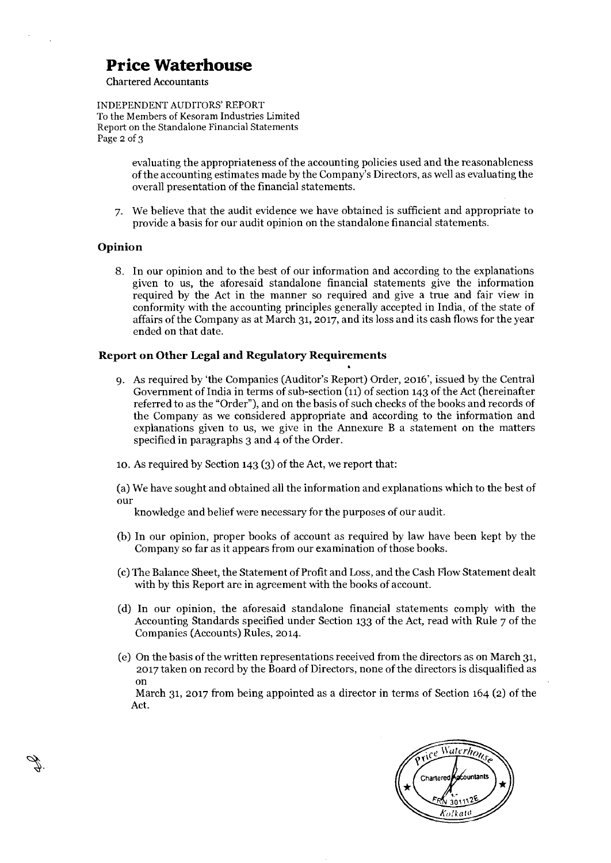Chartered Accountants

INDEPENDENT AUDITORS' REPORT To the Members of Kesoram Industries Limited Report on the Standalone Financial Statements Page 2 of 3

> evaluating the appropriateness of the accounting policies used and the reasonableness of the accounting estimates made by the Company's Directors, as well as evaluating the overall presentation of the financial statements.

7. We believe that the audit evidence we have obtained is sufficient and appropriate to provide a basis for our audit opinion on the standalone financial statements.

#### **Opinion**

8. In our opinion and to the best of our information and according to the explanations given to us, the aforesaid standalone financial statements give the information required by the Act in the manner so required and give a true and fair view in conformity with the accounting principles generally accepted in India, of the state of affairs of the Company as at March 31, 2017, and its loss and its cash flows for the year ended on that date.

#### **Report on Other Legal and Regulatory Requirements**

9. As required by 'the Companies (Auditor's Report) Order, 2016', issued by the Central Government of India in terms of sub-section (11) of section 143 of the Act (hereinafter referred to as the "Order"), and on the basis of such checks of the books and records of the Company as we considered appropriate and according to the information and explanations given to us, we give in the Annexure B a statement on the matters specified in paragraphs 3 and 4 of the Order.

**•** 

to. As required by Section 143 (3) of the Act, we report that:

(a)We have sought and obtained all the information and explanations which to the best of OUT

knowledge and belief were necessary for the purposes of our audit.

- (b) In our opinion, proper books of account as required by law have been kept by the Company so far as it appears from our examination of those books.
- (c)The Balance Sheet, the Statement of Profit and Loss, and the Cash Flow Statement dealt with by this Report are in agreement with the books of account.
- (d) In our opinion, the aforesaid standalone financial statements comply with the Accounting Standards specified under Section 133 of the Act, read with Rule 7 of the Companies (Accounts) Rules, 2o14.
- (e) On the basis of the written representations received from the directors as on March 31, 2017 taken on record by the Board of Directors, none of the directors is disqualified as on

March 31, 2017 from being appointed as a director in terms of Section 164 (2) of the Act.

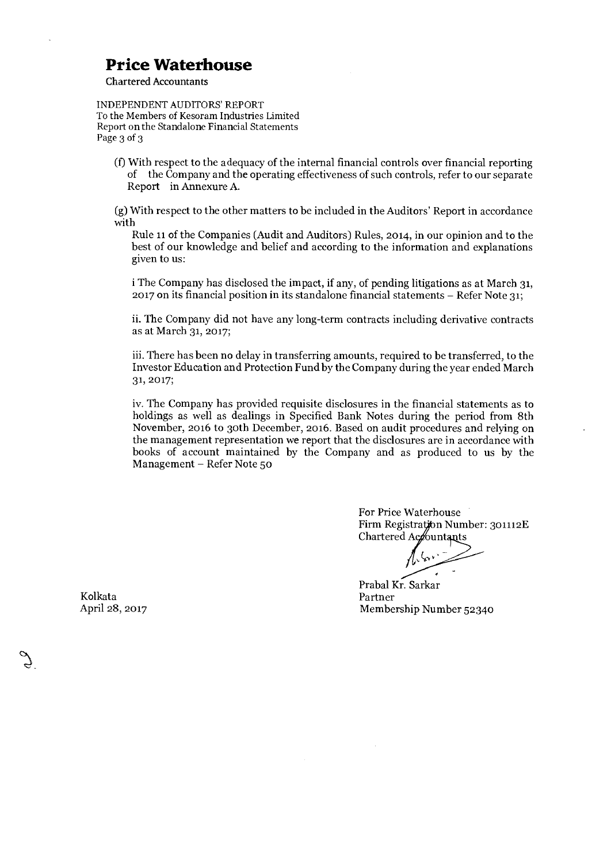Chartered Accountants

#### INDEPENDENT AUDITORS' REPORT To the Members of Kesoram Industries Limited Report on the Standalone Financial Statements Page 3 of 3

(f)With respect to the adequacy of the internal financial controls over financial reporting of the Company and the operating effectiveness of such controls, refer to our separate Report in Annexure A.

(g)With respect to the other matters to be included in the Auditors' Report in accordance with

Rule 11 of the Companies (Audit and Auditors) Rules, 2014, in our opinion and to the best of our knowledge and belief and according to the information and explanations given to us:

i The Company has disclosed the impact, if any, of pending litigations as at March 31, 2017 on its financial position in its standalone financial statements — Refer Note 31;

ii. The Company did not have any long-term contracts including derivative contracts as at March 31, 2017;

iii.There has been no delay in transferring amounts, required to be transferred, to the Investor Education and Protection Fund by the Company during the year ended March 31, 2017;

iv.The Company has provided requisite disclosures in the financial statements as to holdings as well as dealings in Specified Bank Notes during the period from 8th November, 2016 to 30th December, 2016. Based on audit procedures and relying on the management representation we report that the disclosures are in accordance with books of account maintained by the Company and as produced to us by the Management — Refer Note 50

> For Price Waterhouse Firm Registration Number: 301112E Chartered Accountants

Prabal Kr. Sarkar April 28, 2017 Membership Number 52340

Kolkata Partner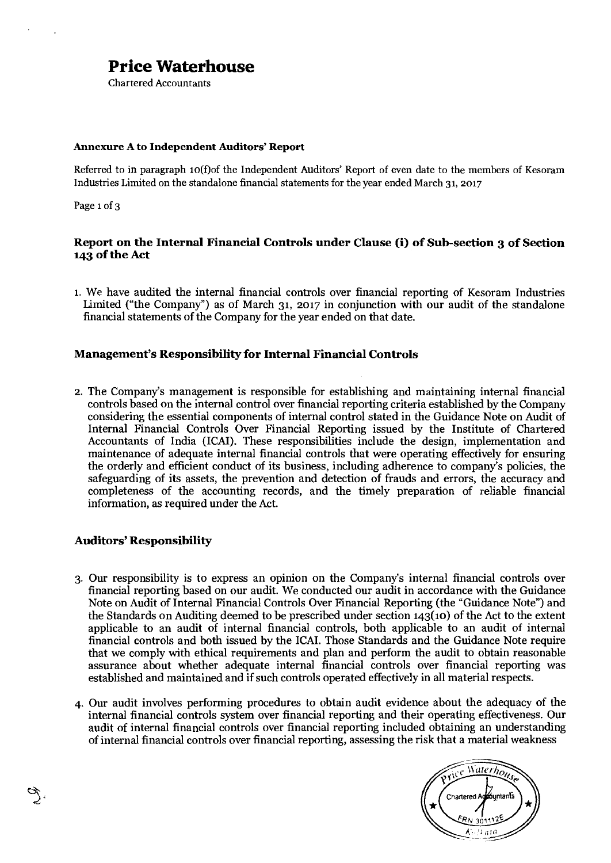Chartered Accountants

#### **Annexure A to Independent Auditors' Report**

Referred to in paragraph io(f)of the Independent Auditors' Report of even date to the members of Kesoram Industries Limited on the standalone financial statements for the year ended March 31, 2o17

Page 1 of 3

#### **Report on the Internal Financial Controls under Clause (i) of Sub-section 3 of Section 143 of the Act**

1. We have audited the internal financial controls over financial reporting of Kesoram Industries Limited ("the Company") as of March 31, 2017 in conjunction with our audit of the standalone financial statements of the Company for the year ended on that date.

#### **Management's Responsibility for Internal Financial Controls**

2. The Company's management is responsible for establishing and maintaining internal financial controls based on the internal control over financial reporting criteria established by the Company considering the essential components of internal control stated in the Guidance Note on Audit of Internal Financial Controls Over Financial Reporting issued by the Institute of Chartered Accountants of India (ICAI). These responsibilities include the design, implementation and maintenance of adequate internal financial controls that were operating effectively for ensuring the orderly and efficient conduct of its business, including adherence to company's policies, the safeguarding of its assets, the prevention and detection of frauds and errors, the accuracy and completeness of the accounting records, and the timely preparation of reliable financial information, as required under the Act.

#### **Auditors' Responsibility**

- 3. Our responsibility is to express an opinion on the Company's internal financial controls over financial reporting based on our audit. We conducted our audit in accordance with the Guidance Note on Audit of Internal Financial Controls Over Financial Reporting (the "Guidance Note") and the Standards on Auditing deemed to be prescribed under section  $143(10)$  of the Act to the extent applicable to an audit of internal financial controls, both applicable to an audit of internal financial controls and both issued by the ICAL Those Standards and the Guidance Note require that we comply with ethical requirements and plan and perform the audit to obtain reasonable assurance about whether adequate internal financial controls over financial reporting was established and maintained and if such controls operated effectively in all material respects.
- 4. Our audit involves performing procedures to obtain audit evidence about the adequacy of the internal financial controls system over financial reporting and their operating effectiveness. Our audit of internal financial controls over financial reporting included obtaining an understanding of internal financial controls over financial reporting, assessing the risk that a material weakness

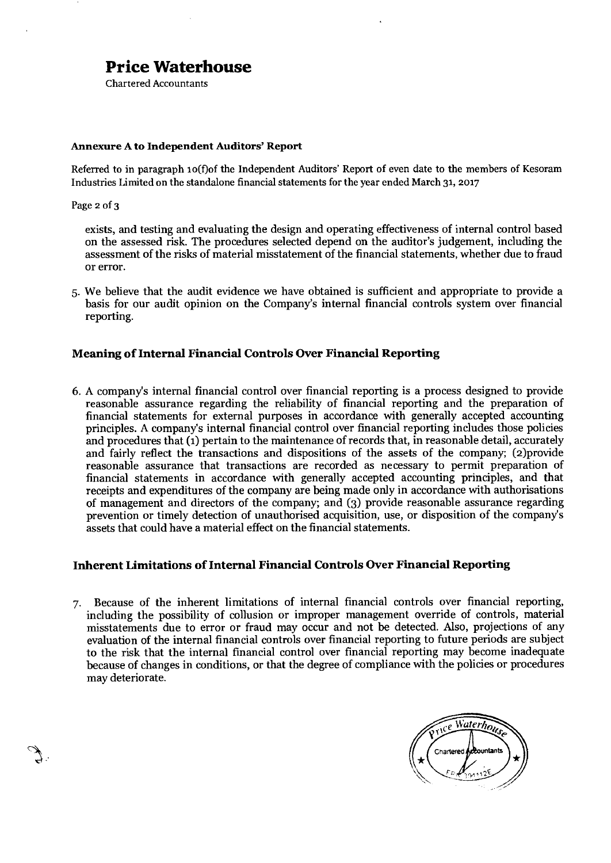Chartered Accountants

#### **Annexure A to Independent Auditors' Report**

Referred to in paragraph io(f)of the Independent Auditors' Report of even date to the members of Kesoram Industries Limited on the standalone financial statements for the year ended March 31, 2017

Page 2 of 3

exists, and testing and evaluating the design and operating effectiveness of internal control based on the assessed risk. The procedures selected depend on the auditor's judgement, including the assessment of the risks of material misstatement of the financial statements, whether due to fraud or error.

5. We believe that the audit evidence we have obtained is sufficient and appropriate to provide a basis for our audit opinion on the Company's internal financial controls system over financial reporting.

#### **Meaning of Internal Financial Controls Over Financial Reporting**

6. A company's internal financial control over financial reporting is a process designed to provide reasonable assurance regarding the reliability of financial reporting and the preparation of financial statements for external purposes in accordance with generally accepted accounting principles. A company's internal financial control over financial reporting includes those policies and procedures that (1) pertain to the maintenance of records that, in reasonable detail, accurately and fairly reflect the transactions and dispositions of the assets of the company; (2)provide reasonable assurance that transactions are recorded as necessary to permit preparation of financial statements in accordance with generally accepted accounting principles, and that receipts and expenditures of the company are being made only in accordance with authorisations of management and directors of the company; and (3) provide reasonable assurance regarding prevention or timely detection of unauthorised acquisition, use, or disposition of the company's assets that could have a material effect on the financial statements.

#### **Inherent Limitations of Internal Financial Controls Over Financial Reporting**

7. Because of the inherent limitations of internal financial controls over financial reporting, including the possibility of collusion or improper management override of controls, material misstatements due to error or fraud may occur and not be detected. Also, projections of any evaluation of the internal financial controls over financial reporting to future periods are subject to the risk that the internal financial control over financial reporting may become inadequate because of changes in conditions, or that the degree of compliance with the policies or procedures may deteriorate.

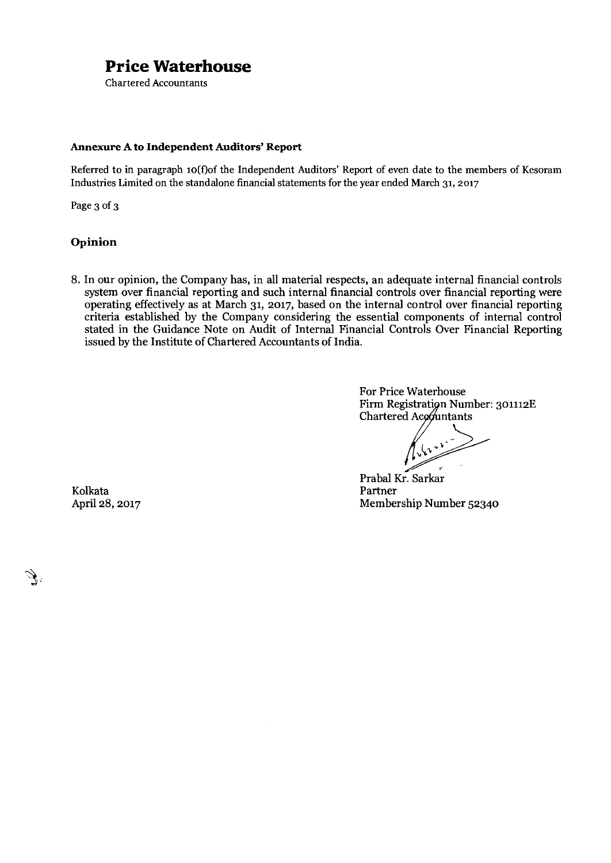Chartered Accountants

#### **Annexure A to Independent Auditors' Report**

Referred to in paragraph io(f)of the Independent Auditors' Report of even date to the members of Kesoram Industries Limited on the standalone financial statements for the year ended March 31, 2017

Page 3 of 3

#### **Opinion**

8. In our opinion, the Company has, in all material respects, an adequate internal financial controls system over financial reporting and such internal financial controls over financial reporting were operating effectively as at March 31, 2017, based on the internal control over financial reporting criteria established by the Company considering the essential components of internal control stated in the Guidance Note on Audit of Internal Financial Controls Over Financial Reporting issued by the Institute of Chartered Accountants of India.

> For Price Waterhouse Firm Registration Number: 301112E Chartered Acomutants

Prabal Kr. Sarkar April 28, 2017 Membership Number 5234o

Kolkata Partner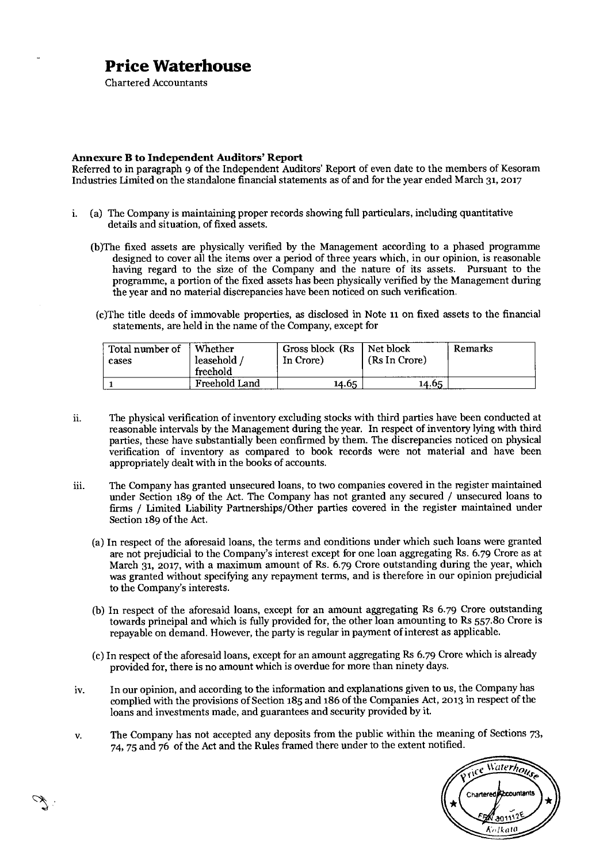Chartered Accountants

#### **Annexure B to Independent Auditors' Report**

Referred to in paragraph 9 of the Independent Auditors' Report of even date to the members of Kesoram Industries Limited on the standalone financial statements as of and for the year ended March 31, 2017

- i. (a) The Company is maintaining proper records showing full particulars, including quantitative details and situation, of fixed assets.
	- (b)The fixed assets are physically verified by the Management according to a phased programme designed to cover all the items over a period of three years which, in our opinion, is reasonable having regard to the size of the Company and the nature of its assets. Pursuant to the programme, a portion of the fixed assets has been physically verified by the Management during the year and no material discrepancies have been noticed on such verification,
	- (c)The title deeds of immovable properties, as disclosed in Note 11 on fixed assets to the financial statements, are held in the name of the Company, except for

| Total number of<br>cases | Whether<br>leasehold<br>freehold | Gross block (Rs)<br>In Crore) | Net block<br>(Rs In Crore) | <b>Remarks</b> |
|--------------------------|----------------------------------|-------------------------------|----------------------------|----------------|
|                          | Freehold Land                    | 14.65                         | 14.65                      |                |

- ii. The physical verification of inventory excluding stocks with third parties have been conducted at reasonable intervals by the Management during the year. In respect of inventory lying with third parties, these have substantially been confirmed by them. The discrepancies noticed on physical verification of inventory as compared to book records were not material and have been appropriately dealt with in the books of accounts.
- iii. The Company has granted unsecured loans, to two companies covered in the register maintained under Section 189 of the Act. The Company has not granted any secured / unsecured loans to firms / Limited Liability Partnerships/Other parties covered in the register maintained under Section 189 of the Act.
	- (a) In respect of the aforesaid loans, the terms and conditions under which such loans were granted are not prejudicial to the Company's interest except for one loan aggregating Rs. 6.79 Crore as at March 31, 2017, with a maximum amount of Rs. 6.79 Crore outstanding during the year, which was granted without specifying any repayment terms, and is therefore in our opinion prejudicial to the Company's interests.
	- (b) In respect of the aforesaid loans, except for an amount aggregating Rs 6.79 Crore outstanding towards principal and which is fully provided for, the other loan amounting to Rs 557.8o Crore is repayable on demand. However, the party is regular in payment of interest as applicable.
	- (c)In respect of the aforesaid loans, except for an amount aggregating Rs 6.79 Crore which is already provided for, there is no amount which is overdue for more than ninety days.
- iv. In our opinion, and according to the information and explanations given to us, the Company has complied with the provisions of Section 185 and 186 of the Companies Act, 2013 in respect of the loans and investments made, and guarantees and security provided by it.
- v. The Company has not accepted any deposits from the public within the meaning of Sections 73, 74, 75 and 76 of the Act and the Rules framed there under to the extent notified.

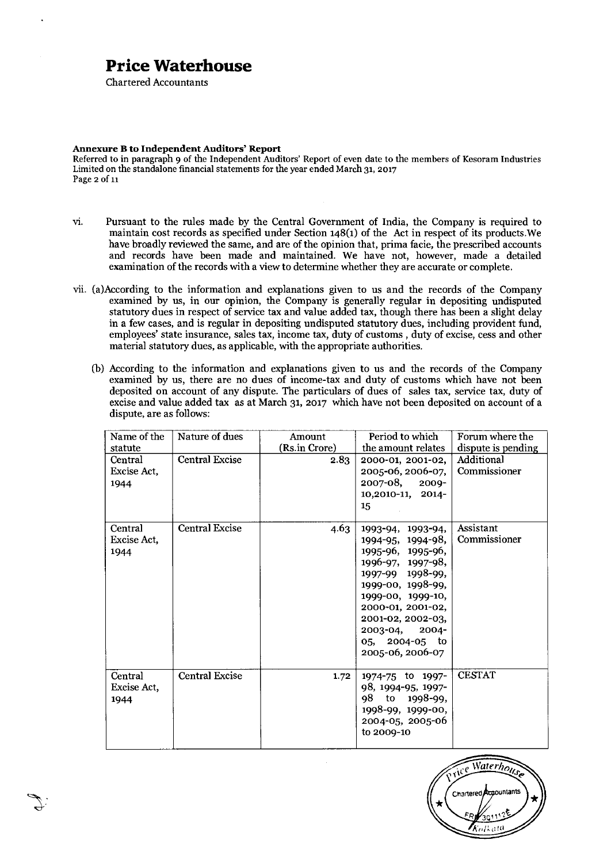Chartered Accountants

#### **Annexure B to Independent Auditors' Report**

Referred to in paragraph 9 of the Independent Auditors' Report of even date to the members of Kesoram Industries Limited on the standalone financial statements for the year ended March 31, 2017 Page 2 of 11

- vi. Pursuant to the rules made by the Central Government of India, the Company is required to maintain cost records as specified under Section 148(1) of the Act in respect of its products.We have broadly reviewed the same, and are of the opinion that, prima facie, the prescribed accounts and records have been made and maintained. We have not, however, made a detailed examination of the records with a view to determine whether they are accurate or complete.
- vii. (a)According to the information and explanations given to us and the records of the Company examined by us, in our opinion, the Company is generally regular in depositing undisputed statutory dues in respect of service tax and value added tax, though there has been a slight delay in a few cases, and is regular in depositing undisputed statutory dues, including provident fund, employees' state insurance, sales tax, income tax, duty of customs , duty of excise, cess and other material statutory dues, as applicable, with the appropriate authorities.
	- (b) According to the information and explanations given to us and the records of the Company examined by us, there are no dues of income-tax and duty of customs which have not been deposited on account of any dispute. The particulars of dues of sales tax, service tax, duty of excise and value added tax as at March 31, 2017 which have not been deposited on account of a dispute, are as follows:

| Name of the<br>statute         | Nature of dues        | Amount<br>(Rs.in Crore) | Period to which<br>the amount relates                                                                                                                                                                                                            | Forum where the<br>dispute is pending |
|--------------------------------|-----------------------|-------------------------|--------------------------------------------------------------------------------------------------------------------------------------------------------------------------------------------------------------------------------------------------|---------------------------------------|
| Central<br>Excise Act,<br>1944 | <b>Central Excise</b> | 2.83                    | 2000-01, 2001-02,<br>2005-06, 2006-07,<br>2007-08, 2009-<br>10,2010-11, 2014-<br>15                                                                                                                                                              | Additional<br>Commissioner            |
| Central<br>Excise Act,<br>1944 | Central Excise        | 4.63                    | 1993-94, 1993-94,<br>1994-95, 1994-98,<br>1995-96, 1995-96,<br>1996-97, 1997-98,<br>1997-99 1998-99,<br>1999-00, 1998-99,<br>1999-00, 1999-10,<br>2000-01, 2001-02,<br>2001-02, 2002-03,<br>2003-04, 2004-<br>05, 2004-05 to<br>2005-06, 2006-07 | Assistant<br>Commissioner             |
| Central<br>Excise Act,<br>1944 | <b>Central Excise</b> | 1.72                    | 1974-75 to 1997-<br>98, 1994-95, 1997-<br>98 to 1998-99,<br>1998-99, 1999-00,<br>2004-05, 2005-06<br>to 2009-10                                                                                                                                  | <b>CESTAT</b>                         |

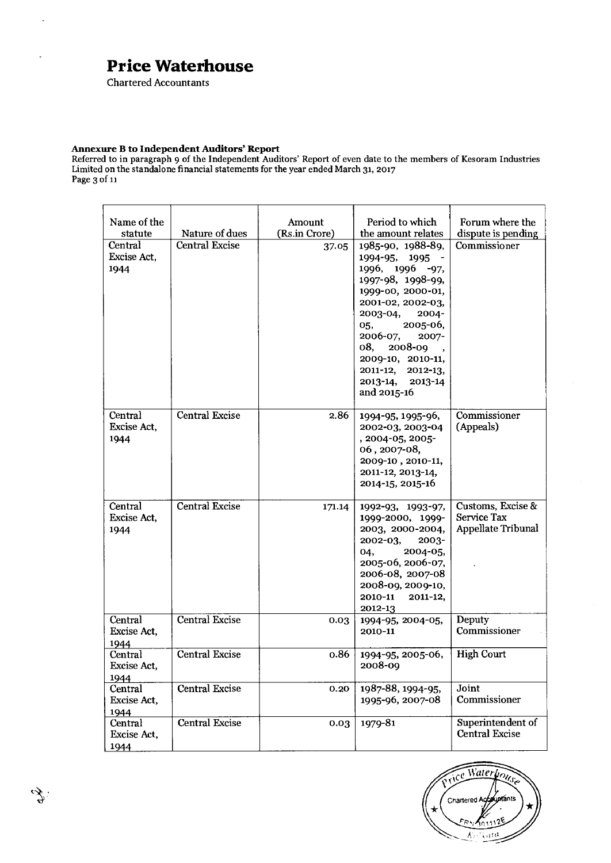Chartered Accountants

 $\ddot{\phantom{a}}$ 

#### **Annexure B to Independent Auditors' Report**

Referred to in paragraph 9 of the Independent Auditors' Report of even date to the members of Kesoram Industries Limited on the standalone financial statements for the year ended March 31, 2017 Page 3 of 11

| Name of the                               | Nature of dues        | Amount<br>(Rs.in Crore) | Period to which                                                                                                                                                                                                                                                                                                             | Forum where the                                        |
|-------------------------------------------|-----------------------|-------------------------|-----------------------------------------------------------------------------------------------------------------------------------------------------------------------------------------------------------------------------------------------------------------------------------------------------------------------------|--------------------------------------------------------|
| statute<br>Central<br>Excise Act,<br>1944 | <b>Central Excise</b> | 37.05                   | the amount relates<br>1985-90, 1988-89,<br>1994-95,<br>$1995 -$<br>1996, 1996 -97,<br>1997-98, 1998-99,<br>1999-00, 2000-01,<br>2001-02, 2002-03,<br>$2003 - 04,$<br>$2004 -$<br>2005-06,<br>05,<br>2006-07,<br>2007-<br>2008-09<br>08,<br>2009-10, 2010-11,<br>2011-12, 2012-13,<br>$2013 - 14,$<br>2013-14<br>and 2015-16 | dispute is pending<br>Commissioner                     |
| Central<br>Excise Act,<br>1944            | <b>Central Excise</b> | 2.86                    | 1994-95, 1995-96,<br>2002-03, 2003-04<br>, 2004-05, 2005-<br>06, 2007-08,<br>2009-10, 2010-11,<br>2011-12, 2013-14,<br>2014-15, 2015-16                                                                                                                                                                                     | Commissioner<br>(Appeals)                              |
| Central<br>Excise Act,<br>1944            | <b>Central Excise</b> | 171.14                  | 1992-93, 1993-97,<br>1999-2000, 1999-<br>2003, 2000-2004,<br>2002-03,<br>2003-<br>2004-05,<br>04,<br>2005-06, 2006-07,<br>2006-08, 2007-08<br>2008-09, 2009-10,<br>2010-11<br>2011-12,<br>2012-13                                                                                                                           | Customs, Excise &<br>Service Tax<br>Appellate Tribunal |
| Central<br>Excise Act,<br>1944            | <b>Central Excise</b> | 0.03                    | 1994-95, 2004-05,<br>2010-11                                                                                                                                                                                                                                                                                                | Deputy<br>Commissioner                                 |
| Central<br>Excise Act,<br>1944            | <b>Central Excise</b> | 0.86                    | 1994-95, 2005-06,<br>2008-09                                                                                                                                                                                                                                                                                                | <b>High Court</b>                                      |
| Central<br>Excise Act,<br>1944            | Central Excise        | 0.20                    | 1987-88, 1994-95,<br>1995-96, 2007-08                                                                                                                                                                                                                                                                                       | Joint<br>Commissioner                                  |
| Central<br>Excise Act,<br>1944            | Central Excise        | 0.03                    | 1979-81                                                                                                                                                                                                                                                                                                                     | Superintendent of<br><b>Central Excise</b>             |

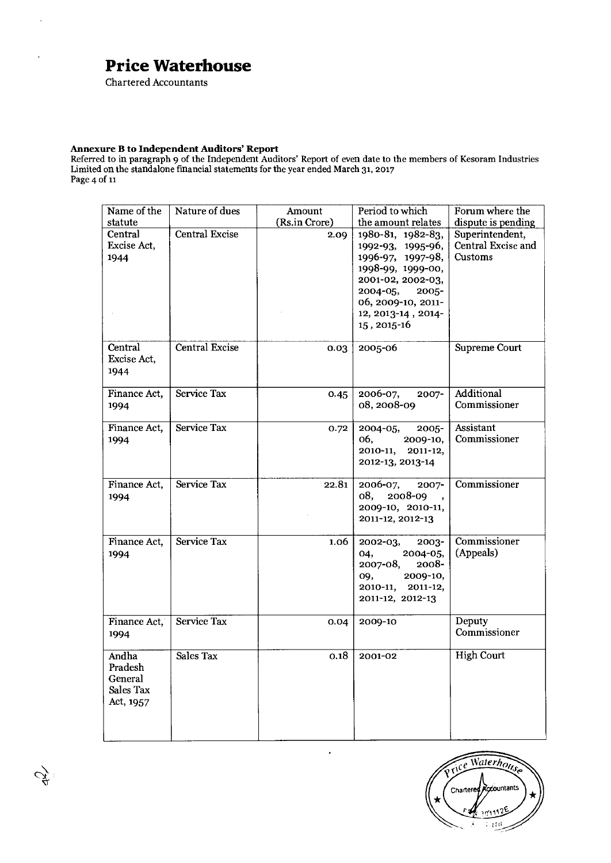Chartered Accountants

 $\ddot{\phantom{a}}$ 

J.

 $\mathcal{L}$ 

#### **Annexure B to Independent Auditors' Report**

Referred to in paragraph 9 of the Independent Auditors' Report of even date to the members of Kesoram Industries Limited on the standalone financial statements for the year ended March 31, 2017 Page 4 of 11

| Name of the<br>statute                                | Nature of dues        | Amount<br>(Rs.in Crore) | Period to which<br>the amount relates                                                                                                                                                    | Forum where the<br>dispute is pending            |
|-------------------------------------------------------|-----------------------|-------------------------|------------------------------------------------------------------------------------------------------------------------------------------------------------------------------------------|--------------------------------------------------|
| Central<br>Excise Act,<br>1944                        | <b>Central Excise</b> | 2.09                    | 1980-81, 1982-83,<br>1992-93, 1995-96,<br>1996-97, 1997-98,<br>1998-99, 1999-00,<br>2001-02, 2002-03,<br>2004-05,<br>$2005 -$<br>06, 2009-10, 2011-<br>12, 2013-14, 2014-<br>15, 2015-16 | Superintendent,<br>Central Excise and<br>Customs |
| Central<br>Excise Act,<br>1944                        | <b>Central Excise</b> | 0.03                    | 2005-06                                                                                                                                                                                  | Supreme Court                                    |
| Finance Act,<br>1994                                  | Service Tax           | 0.45                    | 2006-07,<br>$2007 -$<br>08, 2008-09                                                                                                                                                      | Additional<br>Commissioner                       |
| Finance Act,<br>1994                                  | Service Tax           | 0.72                    | $2004 - 05,$<br>$2005 -$<br>06.<br>$2009-10,$<br>2010-11,<br>$2011 - 12$ ,<br>2012-13, 2013-14                                                                                           | Assistant<br>Commissioner                        |
| Finance Act,<br>1994                                  | Service Tax           | 22.81                   | 2006-07,<br>$2007 -$<br>08,<br>2008-09<br>$\cdot$<br>2009-10, 2010-11,<br>2011-12, 2012-13                                                                                               | Commissioner                                     |
| Finance Act,<br>1994                                  | Service Tax           | 1.06                    | 2003-<br>2002-03,<br>$2004 - 05,$<br>04,<br>2007-08,<br>2008-<br>09,<br>2009-10,<br>2010-11,<br>2011-12,<br>2011-12, 2012-13                                                             | Commissioner<br>(Appeals)                        |
| Finance Act,<br>1994                                  | Service Tax           | 0.04                    | 2009-10                                                                                                                                                                                  | Deputy<br>Commissioner                           |
| Andha<br>Pradesh<br>General<br>Sales Tax<br>Act, 1957 | Sales Tax             | 0.18                    | 2001-02                                                                                                                                                                                  | <b>High Court</b>                                |

 $\overline{\phantom{a}}$ 

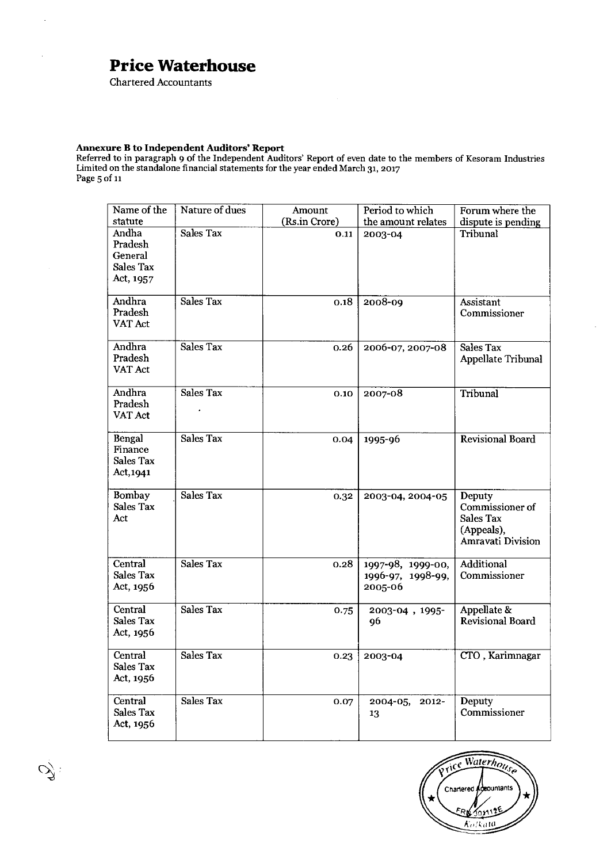Chartered Accountants

l.

 $\overline{\phantom{a}}$ 

#### **Annexure B to Independent Auditors' Report**

Referred to in paragraph 9 of the Independent Auditors' Report of even date to the members of Kesoram Industrie Limited on the standalone financial statements for the year ended March 31, 2017<br>Page 5 of 11

| Name of the<br>statute                                       | Nature of dues   | Amount<br>(Rs.in Crore) | Period to which<br>the amount relates             | Forum where the<br>dispute is pending                                            |
|--------------------------------------------------------------|------------------|-------------------------|---------------------------------------------------|----------------------------------------------------------------------------------|
| Andha<br>Pradesh<br>General<br><b>Sales Tax</b><br>Act, 1957 | Sales Tax        | 0.11                    | 2003-04                                           | Tribunal                                                                         |
| Andhra<br>Pradesh<br>VAT Act                                 | Sales Tax        | 0.18                    | 2008-09                                           | Assistant<br>Commissioner                                                        |
| <b>Andhra</b><br>Pradesh<br>VAT Act                          | Sales Tax        | 0.26                    | 2006-07, 2007-08                                  | Sales Tax<br>Appellate Tribunal                                                  |
| <b>Andhra</b><br>Pradesh<br>VAT Act                          | Sales Tax        | 0.10                    | 2007-08                                           | Tribunal                                                                         |
| Bengal<br>Finance<br><b>Sales Tax</b><br>Act, 1941           | Sales Tax        | 0.04                    | 1995-96                                           | <b>Revisional Board</b>                                                          |
| <b>Bombay</b><br>Sales Tax<br>Act                            | Sales Tax        | 0.32                    | 2003-04, 2004-05                                  | Deputy<br>Commissioner of<br><b>Sales Tax</b><br>(Appeals),<br>Amravati Division |
| Central<br><b>Sales Tax</b><br>Act, 1956                     | <b>Sales Tax</b> | 0.28                    | 1997-98, 1999-00,<br>1996-97, 1998-99,<br>2005-06 | <b>Additional</b><br>Commissioner                                                |
| Central<br><b>Sales Tax</b><br>Act, 1956                     | Sales Tax        | 0.75                    | 2003-04, 1995-<br>96                              | Appellate &<br>Revisional Board                                                  |
| Central<br>Sales Tax<br>Act, 1956                            | <b>Sales Tax</b> | 0.23                    | 2003-04                                           | CTO, Karimnagar                                                                  |
| Central<br><b>Sales Tax</b><br>Act, 1956                     | Sales Tax        | 0.07                    | 2004-05, 2012-<br>13                              | Deputy<br>Commissioner                                                           |



 $\tilde{\mathscr{O}}$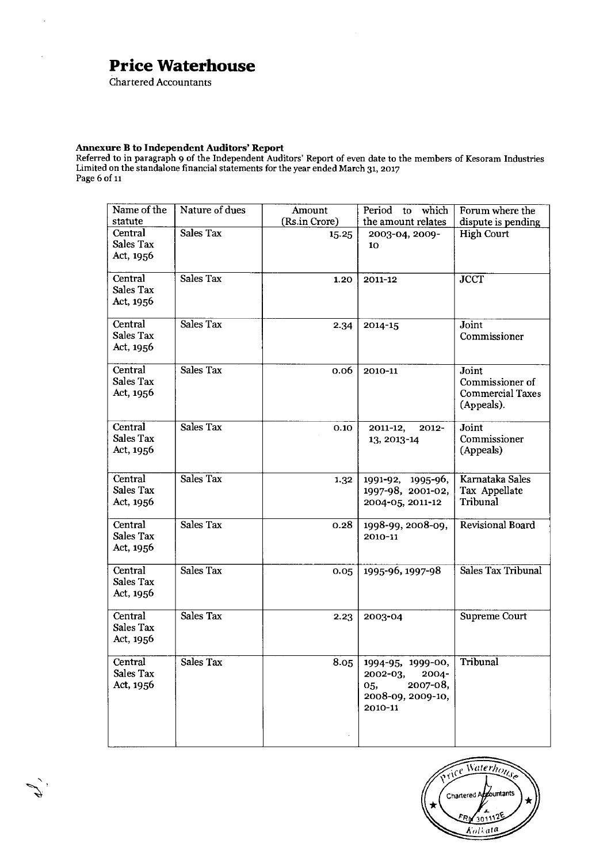Chartered Accountants

 $\ddot{\phantom{a}}$ 

 $\overline{a}$ 

#### **Annexure B to Independent Auditors' Report**

Referred to in paragraph 9 of the Independent Auditors' Report of even date to the members of Kesoram Industries Limited on the standalone financial statements for the year ended March 31, 2017 Page 6 of it

| Name of the<br>statute            | Nature of dues   | Amount<br>(Rs.in Crore) | which<br>Period to<br>the amount relates                                                         | Forum where the                                                   |
|-----------------------------------|------------------|-------------------------|--------------------------------------------------------------------------------------------------|-------------------------------------------------------------------|
| Central<br>Sales Tax<br>Act, 1956 | <b>Sales Tax</b> | 15.25                   | 2003-04, 2009-<br>10                                                                             | dispute is pending<br><b>High Court</b>                           |
| Central<br>Sales Tax<br>Act, 1956 | <b>Sales Tax</b> | 1.20                    | 2011-12                                                                                          | <b>JCCT</b>                                                       |
| Central<br>Sales Tax<br>Act, 1956 | Sales Tax        | 2.34                    | 2014-15                                                                                          | Joint<br>Commissioner                                             |
| Central<br>Sales Tax<br>Act, 1956 | Sales Tax        | 0.06                    | 2010-11                                                                                          | Joint<br>Commissioner of<br><b>Commercial Taxes</b><br>(Appeals). |
| Central<br>Sales Tax<br>Act, 1956 | Sales Tax        | 0.10                    | 2011-12,<br>$2012 -$<br>13, 2013-14                                                              | Joint<br>Commissioner<br>(Appeals)                                |
| Central<br>Sales Tax<br>Act, 1956 | Sales Tax        | 1.32                    | 1991-92, 1995-96,<br>1997-98, 2001-02,<br>2004-05, 2011-12                                       | Karnataka Sales<br>Tax Appellate<br>Tribunal                      |
| Central<br>Sales Tax<br>Act, 1956 | Sales Tax        | 0.28                    | 1998-99, 2008-09,<br>2010-11                                                                     | Revisional Board                                                  |
| Central<br>Sales Tax<br>Act, 1956 | Sales Tax        | 0.05                    | 1995-96, 1997-98                                                                                 | Sales Tax Tribunal                                                |
| Central<br>Sales Tax<br>Act, 1956 | <b>Sales Tax</b> | 2.23                    | 2003-04                                                                                          | Supreme Court                                                     |
| Central<br>Sales Tax<br>Act, 1956 | Sales Tax        | 8.05                    | 1994-95, 1999-00,<br>$2002 - 03,$<br>$2004 -$<br>2007-08,<br>05,<br>2008-09, 2009-10,<br>2010-11 | Tribunal                                                          |

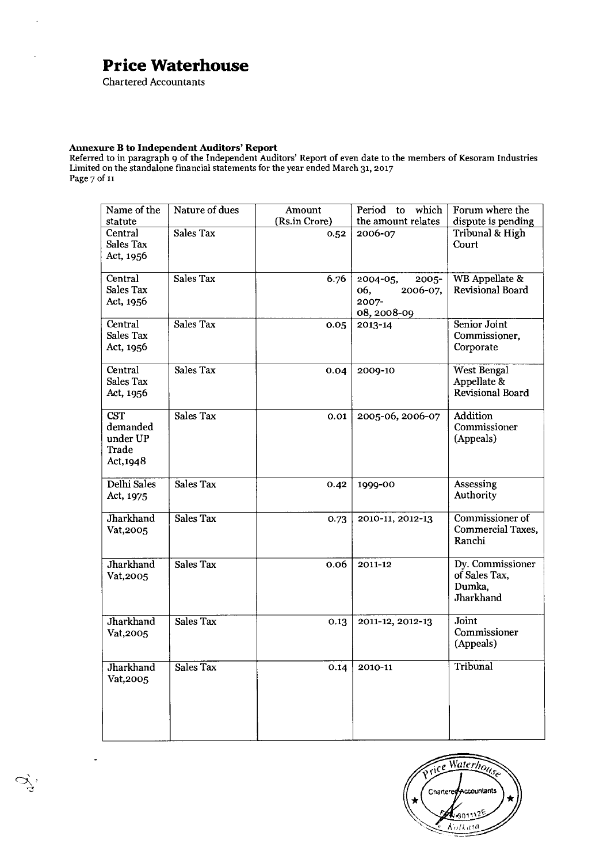Chartered Accountants

 $\overline{a}$ 

#### **Annexure B to Independent Auditors' Report**

Referred to in paragraph 9 of the Independent Auditors' Report of even date to the members of Kesoram Industrie Limited on the standalone financial statements for the year ended March 31, 2017 Page 7 of 11

| Name of the<br>statute                                   | Nature of dues   | Amount<br>(Rs.in Crore) | Period to<br>which<br>the amount relates                        | Forum where the<br>dispute is pending                    |
|----------------------------------------------------------|------------------|-------------------------|-----------------------------------------------------------------|----------------------------------------------------------|
| Central<br>Sales Tax<br>Act, 1956                        | <b>Sales Tax</b> | 0.52                    | 2006-07                                                         | <b>Tribunal &amp; High</b><br>Court                      |
| Central<br>Sales Tax<br>Act, 1956                        | Sales Tax        | 6.76                    | 2004-05,<br>$2005 -$<br>2006-07,<br>06,<br>2007-<br>08, 2008-09 | <b>WB</b> Appellate &<br>Revisional Board                |
| Central<br>Sales Tax<br>Act, 1956                        | Sales Tax        | 0.05                    | 2013-14                                                         | Senior Joint<br>Commissioner,<br>Corporate               |
| Central<br>Sales Tax<br>Act, 1956                        | Sales Tax        | 0.04                    | 2009-10                                                         | <b>West Bengal</b><br>Appellate &<br>Revisional Board    |
| <b>CST</b><br>demanded<br>under UP<br>Trade<br>Act, 1948 | Sales Tax        | 0.01                    | 2005-06, 2006-07                                                | <b>Addition</b><br>Commissioner<br>(Appeals)             |
| Delhi Sales<br>Act, 1975                                 | Sales Tax        | 0.42                    | 1999-00                                                         | Assessing<br>Authority                                   |
| Jharkhand<br>Vat, 2005                                   | Sales Tax        | 0.73                    | 2010-11, 2012-13                                                | Commissioner of<br>Commercial Taxes,<br>Ranchi           |
| Jharkhand<br>Vat, 2005                                   | Sales Tax        | 0.06                    | 2011-12                                                         | Dy. Commissioner<br>of Sales Tax,<br>Dumka,<br>Jharkhand |
| Jharkhand<br>Vat, 2005                                   | Sales Tax        | 0.13                    | 2011-12, 2012-13                                                | Joint<br>Commissioner<br>(Appeals)                       |
| Jharkhand<br>Vat, 2005                                   | Sales Tax        | 0.14                    | 2010-11                                                         | Tribunal                                                 |

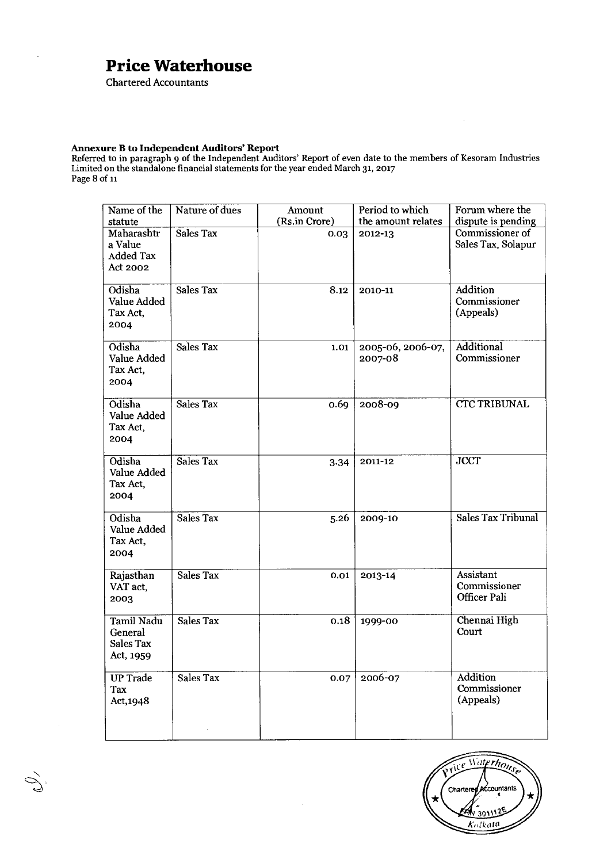Chartered Accountants

l.

Ž

#### **Annexure B to Independent Auditors' Report**

Referred to in paragraph 9 of the Independent Auditors' Report of even date to the members of Kesoram Industries Limited on the standalone financial statements for the year ended March 31, 2017 Page 8 of 11

| Name of the<br>statute                                | Nature of dues   | Amount<br>(Rs.in Crore) | Period to which<br>the amount relates | Forum where the<br>dispute is pending        |
|-------------------------------------------------------|------------------|-------------------------|---------------------------------------|----------------------------------------------|
| Maharashtr<br>a Value<br><b>Added Tax</b><br>Act 2002 | Sales Tax        | 0.03                    | 2012-13                               | Commissioner of<br>Sales Tax, Solapur        |
| Odisha<br>Value Added<br>Tax Act,<br>2004             | Sales Tax        | 8.12                    | 2010-11                               | Addition<br>Commissioner<br>(Appeals)        |
| Odisha<br>Value Added<br>Tax Act,<br>2004             | Sales Tax        | 1.01                    | 2005-06, 2006-07,<br>2007-08          | Additional<br>Commissioner                   |
| Odisha<br>Value Added<br>Tax Act,<br>2004             | <b>Sales Tax</b> | 0.69                    | 2008-09                               | <b>CTC TRIBUNAL</b>                          |
| Odisha<br>Value Added<br>Tax Act,<br>2004             | Sales Tax        | 3.34                    | 2011-12                               | <b>JCCT</b>                                  |
| Odisha<br>Value Added<br>Tax Act,<br>2004             | <b>Sales Tax</b> | 5.26                    | 2009-10                               | <b>Sales Tax Tribunal</b>                    |
| Rajasthan<br>VAT act,<br>2003                         | Sales Tax        | 0.01                    | 2013-14                               | Assistant<br>Commissioner<br>Officer Pali    |
| Tamil Nadu<br>General<br>Sales Tax<br>Act, 1959       | Sales Tax        | 0.18                    | 1999-00                               | Chennai High<br>Court                        |
| <b>UP Trade</b><br>Tax<br>Act, 1948                   | Sales Tax        | 0.07                    | 2006-07                               | <b>Addition</b><br>Commissioner<br>(Appeals) |
|                                                       |                  |                         |                                       |                                              |



 $\bar{z}$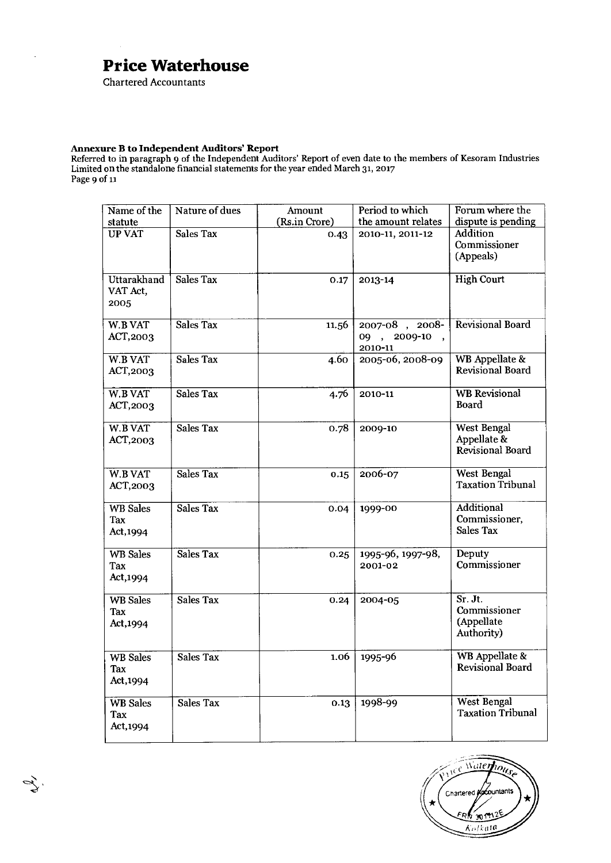Chartered Accountants

 $\mathcal{L}$ 

#### **Annexure B to Independent Auditors' Report**

Referred to in paragraph 9 of the Independent Auditors' Report of even date to the members of Kesoram Industries Limited on the standalone financial statements for the year ended March 31, 2017 Page 9 of it

| Name of the<br>statute                 | Nature of dues   | Amount<br>(Rs.in Crore) | Period to which<br>the amount relates     | Forum where the<br>dispute is pending                 |
|----------------------------------------|------------------|-------------------------|-------------------------------------------|-------------------------------------------------------|
| <b>UP VAT</b>                          | <b>Sales Tax</b> | 0.43                    | 2010-11, 2011-12                          | Addition<br>Commissioner<br>(Appeals)                 |
| <b>Uttarakhand</b><br>VAT Act,<br>2005 | Sales Tax        | 0.17                    | 2013-14                                   | <b>High Court</b>                                     |
| <b>W.B VAT</b><br>ACT, 2003            | Sales Tax        | 11.56                   | 2007-08, 2008-<br>09, 2009-10,<br>2010-11 | <b>Revisional Board</b>                               |
| W.B VAT<br>ACT, 2003                   | <b>Sales Tax</b> | 4.60                    | 2005-06, 2008-09                          | WB Appellate &<br>Revisional Board                    |
| W.B VAT<br>ACT, 2003                   | Sales Tax        | 4.76                    | 2010-11                                   | <b>WB</b> Revisional<br><b>Board</b>                  |
| <b>W.B VAT</b><br>ACT,2003             | Sales Tax        | 0.78                    | 2009-10                                   | <b>West Bengal</b><br>Appellate &<br>Revisional Board |
| W.B VAT<br>ACT,2003                    | Sales Tax        | 0.15                    | 2006-07                                   | West Bengal<br><b>Taxation Tribunal</b>               |
| <b>WB</b> Sales<br>Tax<br>Act, 1994    | Sales Tax        | 0.04                    | 1999-00                                   | <b>Additional</b><br>Commissioner,<br>Sales Tax       |
| <b>WB</b> Sales<br>Tax<br>Act, 1994    | Sales Tax        | 0.25                    | 1995-96, 1997-98,<br>2001-02              | Deputy<br>Commissioner                                |
| <b>WB Sales</b><br>Tax<br>Act, 1994    | Sales Tax        | 0.24                    | 2004-05                                   | Sr. Jt.<br>Commissioner<br>(Appellate<br>Authority)   |
| <b>WB</b> Sales<br>Tax<br>Act, 1994    | Sales Tax        | 1.06                    | 1995-96                                   | WB Appellate &<br>Revisional Board                    |
| <b>WB</b> Sales<br>Tax<br>Act, 1994    | Sales Tax        | 0.13                    | 1998-99                                   | <b>West Bengal</b><br><b>Taxation Tribunal</b>        |

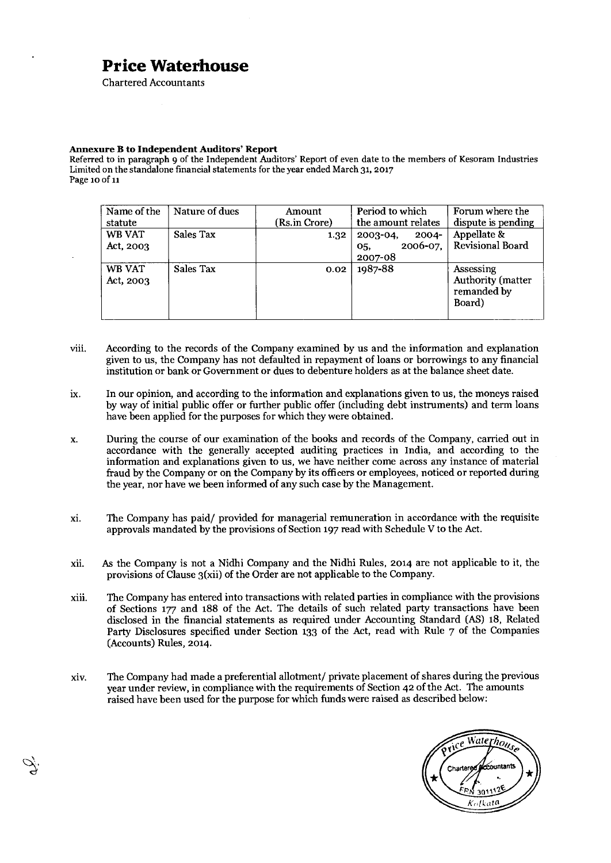Chartered Accountants

#### **Annexure B to Independent Auditors' Report**

Referred to in paragraph 9 of the Independent Auditors' Report of even date to the members of Kesoram Industries Limited on the standalone financial statements for the year ended March 31, 2017 Page 10 of ii

| Name of the<br>statute | Nature of dues | Amount<br>(Rs.in Crore) | Period to which<br>the amount relates                        | Forum where the<br>dispute is pending                   |
|------------------------|----------------|-------------------------|--------------------------------------------------------------|---------------------------------------------------------|
| WB VAT<br>Act, 2003    | Sales Tax      | 1.32                    | $2003 - 04$ ,<br>$2004 -$<br>$2006 - 07$ ,<br>05,<br>2007-08 | Appellate &<br>Revisional Board                         |
| WB VAT<br>Act. 2003    | Sales Tax      | 0.02                    | 1987-88                                                      | Assessing<br>Authority (matter<br>remanded by<br>Board) |

- viii. According to the records of the Company examined by us and the information and explanation given to us, the Company has not defaulted in repayment of loans or borrowings to any financial institution or bank or Government or dues to debenture holders as at the balance sheet date.
- ix. In our opinion, and according to the information and explanations given to us, the moneys raised by way of initial public offer or further public offer (including debt instruments) and term loans have been applied for the purposes for which they were obtained.
- x. During the course of our examination of the books and records of the Company, carried out in accordance with the generally accepted auditing practices in India, and according to the information and explanations given to us, we have neither come across any instance of material fraud by the Company or on the Company by its officers or employees, noticed or reported during the year, nor have we been informed of any such case by the Management.
- xi. The Company has paid/ provided for managerial remuneration in accordance with the requisite approvals mandated by the provisions of Section 197 read with Schedule V to the Act.
- xii. As the Company is not a Nidhi Company and the Nidhi Rules, 2014 are not applicable to it, the provisions of Clause 3(xii) of the Order are not applicable to the Company.
- xiii. The Company has entered into transactions with related parties in compliance with the provisions of Sections 177 and 188 of the Act. The details of such related party transactions have been disclosed in the financial statements as required under Accounting Standard (AS) 18, Related Party Disclosures specified under Section 133 of the Act, read with Rule 7 of the Companies (Accounts) Rules, 2014.
- xiv. The Company had made a preferential allotment/ private placement of shares during the previous year under review, in compliance with the requirements of Section 42 of the Act. The amounts raised have been used for the purpose for which funds were raised as described below:

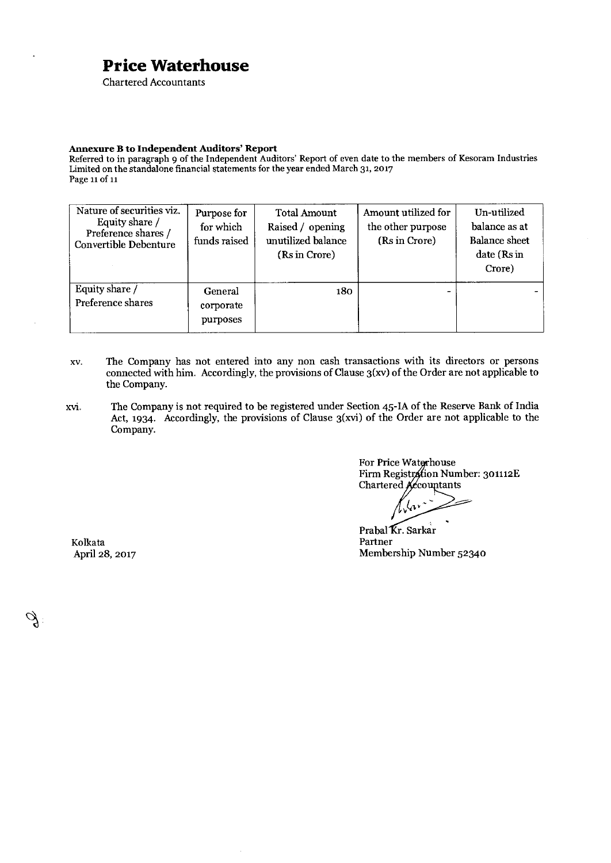Chartered Accountants

#### **Annexure B to Independent Auditors' Report**

Referred to in paragraph 9 of the Independent Auditors' Report of even date to the members of Kesoram Industries Limited on the standalone financial statements for the year ended March 31, 2017 Page 11 of 11

| Nature of securities viz.<br>Equity share /<br>Preference shares /<br><b>Convertible Debenture</b> | Purpose for<br>for which<br>funds raised | <b>Total Amount</b><br>Raised / opening<br>unutilized balance<br>(Rs in Crore) | Amount utilized for<br>the other purpose<br>(Rs in Crore) | Un-utilized<br>balance as at<br><b>Balance</b> sheet<br>date (Rs in<br>Crore) |
|----------------------------------------------------------------------------------------------------|------------------------------------------|--------------------------------------------------------------------------------|-----------------------------------------------------------|-------------------------------------------------------------------------------|
| Equity share /<br>Preference shares                                                                | General<br>corporate<br>purposes         | 180.                                                                           |                                                           |                                                                               |

- xv. The Company has not entered into any non cash transactions with its directors or persons connected with him. Accordingly, the provisions of Clause 3(xv) of the Order are not applicable to the Company.
- xvi. The Company is not required to be registered under Section 45-IA of the Reserve Bank of India Act, 1934. Accordingly, the provisions of Clause 3(xvi) of the Order are not applicable to the Company.

For Price Waterhouse Firm Registration Number: 301112E Chartered Accountants

•

Prabal Kr. Sarkar<br>Partner April 28, 2017 Membership Number 52340

Kolkata Partner

Š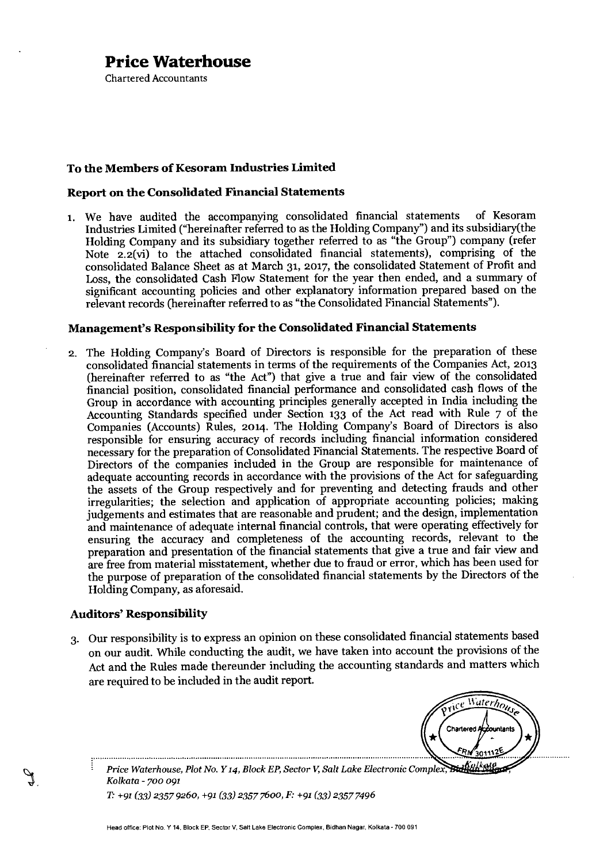Chartered Accountants

#### **To the Members of Kesoram Industries Limited**

#### **Report on the Consolidated Financial Statements**

1. We have audited the accompanying consolidated financial statements of Kesoram Industries Limited ("hereinafter referred to as the Holding Company") and its subsidiary(the Holding Company and its subsidiary together referred to as "the Group") company (refer Note 2.2(vi) to the attached consolidated financial statements), comprising of the consolidated Balance Sheet as at March 31, 2017, the consolidated Statement of Profit and Loss, the consolidated Cash Flow Statement for the year then ended, and a summary of significant accounting policies and other explanatory information prepared based on the relevant records (hereinafter referred to as "the Consolidated Financial Statements").

#### **Management's Responsibility for the Consolidated Financial Statements**

2. The Holding Company's Board of Directors is responsible for the preparation of these consolidated financial statements in terms of the requirements of the Companies Act, 2013 (hereinafter referred to as "the Act") that give a true and fair view of the consolidated financial position, consolidated financial performance and consolidated cash flows of the Group in accordance with accounting principles generally accepted in India including the Accounting Standards specified under Section 133 of the Act read with Rule 7 of the Companies (Accounts) Rules, 2014. The Holding Company's Board of Directors is also responsible for ensuring accuracy of records including financial information considered necessary for the preparation of Consolidated Financial Statements. The respective Board of Directors of the companies included in the Group are responsible for maintenance of adequate accounting records in accordance with the provisions of the Act for safeguarding the assets of the Group respectively and for preventing and detecting frauds and other irregularities; the selection and application of appropriate accounting policies; making judgements and estimates that are reasonable and prudent; and the design, implementation and maintenance of adequate internal financial controls, that were operating effectively for ensuring the accuracy and completeness of the accounting records, relevant to the preparation and presentation of the financial statements that give a true and fair view and are free from material misstatement, whether due to fraud or error, which has been used for the purpose of preparation of the consolidated financial statements by the Directors of the Holding Company, as aforesaid.

#### **Auditors' Responsibility**

3. Our responsibility is to express an opinion on these consolidated financial statements based on our audit. While conducting the audit, we have taken into account the provisions of the Act and the Rules made thereunder including the accounting standards and matters which are required to be included in the audit report.

Waterhouse **Chartered Accountants** 

Price Waterhouse, Plot No. Y 14, Block EP, Sector V, Salt Lake Electronic Complex, Buth Nas *Kolkata - 700 091* 

*T. +91 (33) 2357 9260, +91 (33) 2357 760o, F: +91(33) 2357 7496*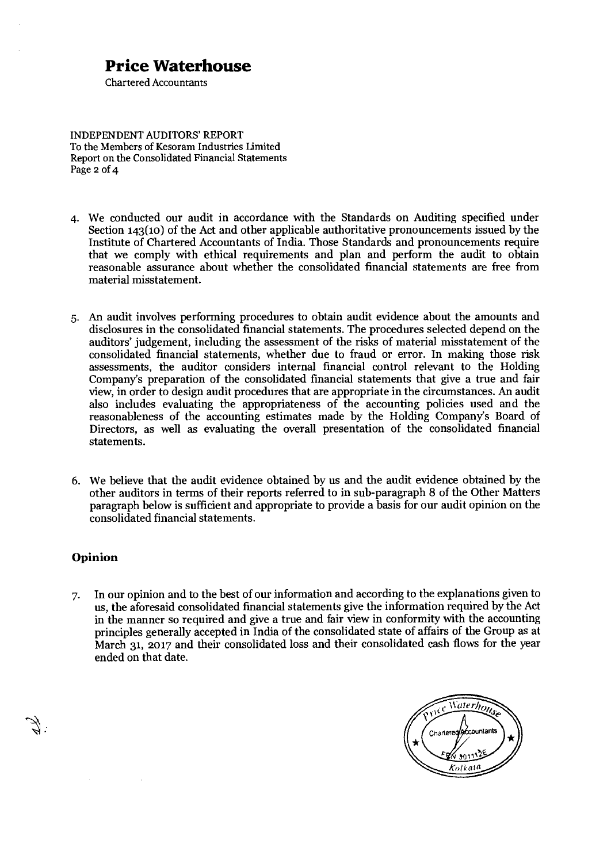Chartered Accountants

INDEPENDENT AUDITORS' REPORT To the Members of Kesoram Industries Limited Report on the Consolidated Financial Statements Page 2 of 4

- 4. We conducted our audit in accordance with the Standards on Auditing specified under Section 143(10) of the Act and other applicable authoritative pronouncements issued by the Institute of Chartered Accountants of India. Those Standards and pronouncements require that we comply with ethical requirements and plan and perform the audit to obtain reasonable assurance about whether the consolidated financial statements are free from material misstatement.
- 5. An audit involves performing procedures to obtain audit evidence about the amounts and disclosures in the consolidated financial statements. The procedures selected depend on the auditors' judgement, including the assessment of the risks of material misstatement of the consolidated financial statements, whether due to fraud or error. In making those risk assessments, the auditor considers internal financial control relevant to the Holding Company's preparation of the consolidated financial statements that give a true and fair view, in order to design audit procedures that are appropriate in the circumstances. An audit also includes evaluating the appropriateness of the accounting policies used and the reasonableness of the accounting estimates made by the Holding Company's Board of Directors, as well as evaluating the overall presentation of the consolidated financial statements.
- 6. We believe that the audit evidence obtained by us and the audit evidence obtained by the other auditors in terms of their reports referred to in sub-paragraph 8 of the Other Matters paragraph below is sufficient and appropriate to provide a basis for our audit opinion on the consolidated financial statements.

#### **Opinion**

7. In our opinion and to the best of our information and according to the explanations given to us, the aforesaid consolidated financial statements give the information required by the Act in the manner so required and give a true and fair view in conformity with the accounting principles generally accepted in India of the consolidated state of affairs of the Group as at March 31, 2017 and their consolidated loss and their consolidated cash flows for the year ended on that date.

Waterhous Chartered<sup>4</sup> 3011 Kolkat@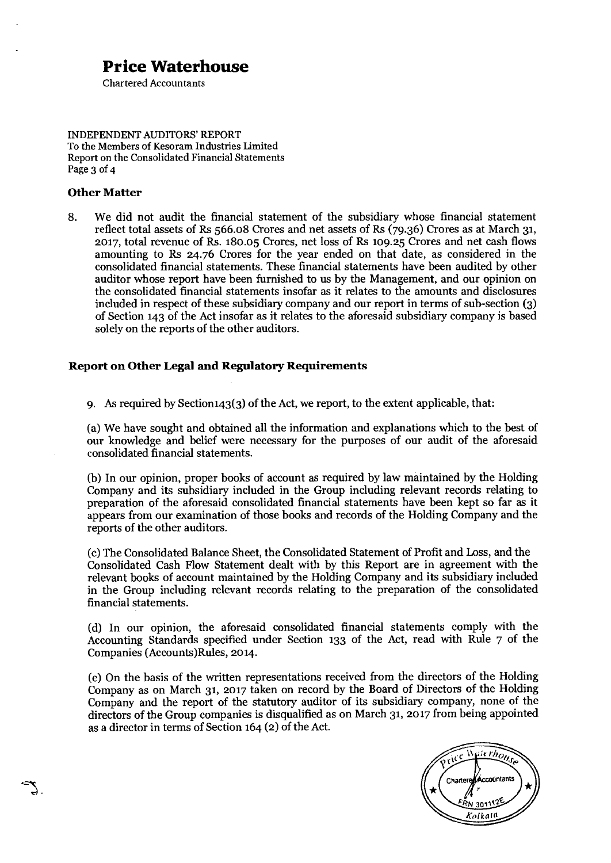Chartered Accountants

INDEPENDENT AUDITORS' REPORT To the Members of Kesoram Industries limited Report on the Consolidated Financial Statements Page 3 of 4

#### **Other Matter**

8. We did not audit the financial statement of the subsidiary whose financial statement reflect total assets of Rs 566.08 Crores and net assets of Rs (79.36) Crores as at March 31, 2017, total revenue of Rs. i80.o5 Crores, net loss of Rs io9.25 Crores and net cash flows amounting to Rs 24.76 Crores for the year ended on that date, as considered in the consolidated financial statements. These financial statements have been audited by other auditor whose report have been furnished to us by the Management, and our opinion on the consolidated financial statements insofar as it relates to the amounts and disclosures included in respect of these subsidiary company and our report in terms of sub-section (3) of Section 143 of the Act insofar as it relates to the aforesaid subsidiary company is based solely on the reports of the other auditors.

#### **Report on Other Legal and Regulatory Requirements**

9. As required by Sectioni43(3) of the Act, we report, to the extent applicable, that:

(a)We have sought and obtained all the information and explanations which to the best of our knowledge and belief were necessary for the purposes of our audit of the aforesaid consolidated financial statements.

(b) In our opinion, proper books of account as required by law maintained by the Holding Company and its subsidiary included in the Group including relevant records relating to preparation of the aforesaid consolidated financial statements have been kept so far as it appears from our examination of those books and records of the Holding Company and the reports of the other auditors.

(c)The Consolidated Balance Sheet, the Consolidated Statement of Profit and Loss, and the Consolidated Cash Flow Statement dealt with by this Report are in agreement with the relevant books of account maintained by the Holding Company and its subsidiary included in the Group including relevant records relating to the preparation of the consolidated financial statements.

(d) In our opinion, the aforesaid consolidated financial statements comply with the Accounting Standards specified under Section 133 of the Act, read with Rule 7 of the Companies (Accounts)Rules, 2014.

(e) On the basis of the written representations received from the directors of the Holding Company as on March 31, 2017 taken on record by the Board of Directors of the Holding Company and the report of the statutory auditor of its subsidiary company, none of the directors of the Group companies is disqualified as on March 31, 2017 from being appointed as a director in terms of Section 164 (2) of the Act.

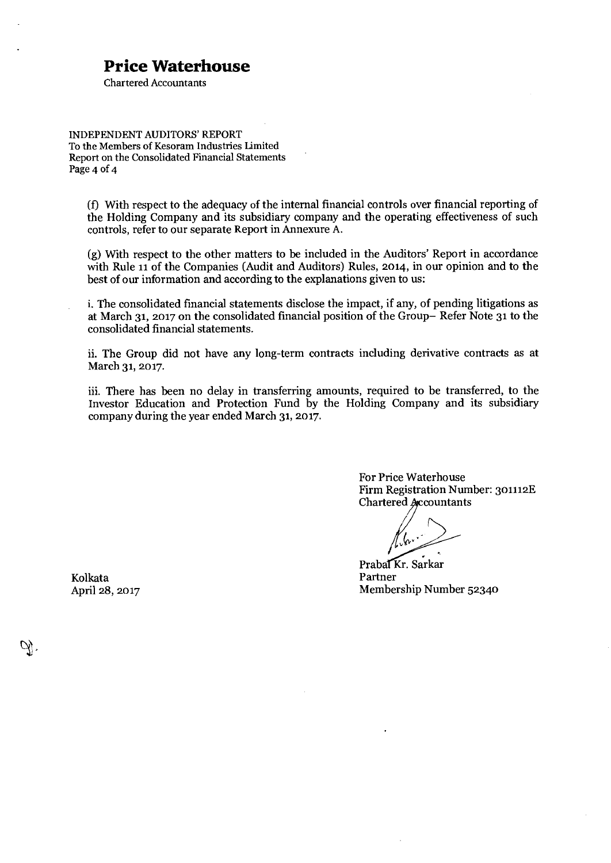Chartered Accountants

INDEPENDENT AUDITORS' REPORT To the Members of Kesoram Industries limited Report on the Consolidated Financial Statements Page 4 of 4

(f) With respect to the adequacy of the internal financial controls over financial reporting of the Holding Company and its subsidiary company and the operating effectiveness of such controls, refer to our separate Report in Annexure A.

(g)With respect to the other matters to be included in the Auditors' Report in accordance with Rule 11 of the Companies (Audit and Auditors) Rules, 2014, in our opinion and to the best of our information and according to the explanations given to us:

i. The consolidated financial statements disclose the impact, if any, of pending litigations as at March 31, 2017 on the consolidated financial position of the Group— Refer Note 31 to the consolidated financial statements.

ii. The Group did not have any long-term contracts including derivative contracts as at March 31, 2017.

iii. There has been no delay in transferring amounts, required to be transferred, to the Investor Education and Protection Fund by the Holding Company and its subsidiary company during the year ended March 31, 2017.

> For Price Waterhouse Firm Registration Number: 301112E Chartered Accountants

 $\frac{1}{2}$ 

Prabal Kr. Sarkar<br>Partner April 28, 2017 Membership Number 52340

Kolkata Partner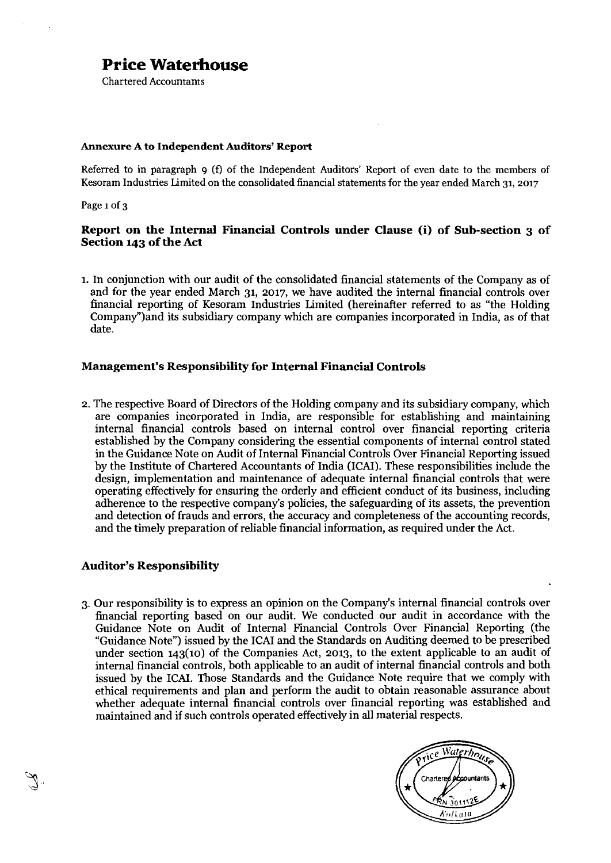Chartered Accountants

#### **Annexure A to Independent Auditors' Report**

Referred to in paragraph 9 (f) of the Independent Auditors' Report of even date to the members of Kesoram Industries Limited on the consolidated financial statements for the year ended March 31, 2017

Page 1 of 3

#### **Report on the Internal Financial Controls under Clause (i) of Sub-section 3 of Section 143 of the Act**

1.In conjunction with our audit of the consolidated financial statements of the Company as of and for the year ended March 31, 2017, we have audited the internal financial controls over financial reporting of Kesoram Industries Limited (hereinafter referred to as "the Holding Company")and its subsidiary company which are companies incorporated in India, as of that date.

#### **Management's Responsibility for Internal Financial Controls**

2.The respective Board of Directors of the Holding company and its subsidiary company, which are companies incorporated in India, are responsible for establishing and maintaining internal financial controls based on internal control over financial reporting criteria established by the Company considering the essential components of internal control stated in the Guidance Note on Audit of Internal Financial Controls Over Financial Reporting issued by the Institute of Chartered Accountants of India (ICAI). These responsibilities include the design, implementation and maintenance of adequate internal financial controls that were operating effectively for ensuring the orderly and efficient conduct of its business, including adherence to the respective company's policies, the safeguarding of its assets, the prevention and detection of frauds and errors, the accuracy and completeness of the accounting records, and the timely preparation of reliable financial information, as required under the Act.

#### **Auditor's Responsibility**

3. Our responsibility is to express an opinion on the Company's internal financial controls over financial reporting based on our audit. We conducted our audit in accordance with the Guidance Note on Audit of Internal Financial Controls Over Financial Reporting (the "Guidance Note") issued by the ICAI and the Standards on Auditing deemed to be prescribed under section 143(10) of the Companies Act, 2013, to the extent applicable to an audit of internal financial controls, both applicable to an audit of internal financial controls and both issued by the ICAI. Those Standards and the Guidance Note require that we comply with ethical requirements and plan and perform the audit to obtain reasonable assurance about whether adequate internal financial controls over financial reporting was established and maintained and if such controls operated effectively in all material respects.

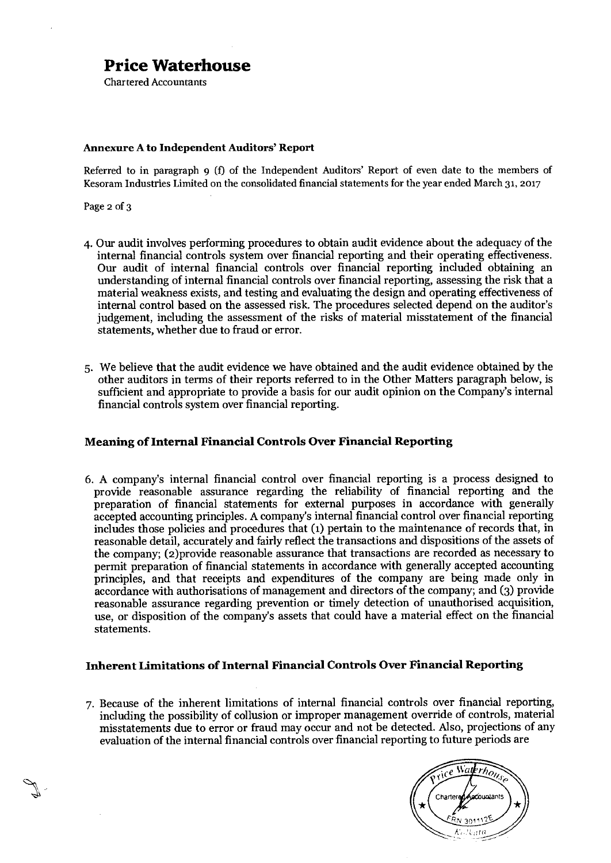Chartered Accountants

#### **Annexure A to Independent Auditors' Report**

Referred to in paragraph 9 (f) of the Independent Auditors' Report of even date to the members of Kesoram Industries Limited on the consolidated financial statements for the year ended March 31, 2017

Page 2 of 3

- 4. Our audit involves performing procedures to obtain audit evidence about the adequacy of the internal financial controls system over financial reporting and their operating effectiveness. Our audit of internal financial controls over financial reporting included obtaining an understanding of internal financial controls over financial reporting, assessing the risk that a material weakness exists, and testing and evaluating the design and operating effectiveness of internal control based on the assessed risk. The procedures selected depend on the auditor's judgement, including the assessment of the risks of material misstatement of the financial statements, whether due to fraud or error.
- 5. We believe that the audit evidence we have obtained and the audit evidence obtained by the other auditors in terms of their reports referred to in the Other Matters paragraph below, is sufficient and appropriate to provide a basis for our audit opinion on the Company's internal financial controls system over financial reporting.

#### **Meaning of Internal Financial Controls Over Financial Reporting**

6. A company's internal financial control over financial reporting is a process designed to provide reasonable assurance regarding the reliability of financial reporting and the preparation of financial statements for external purposes in accordance with generally accepted accounting principles. A company's internal financial control over financial reporting includes those policies and procedures that (1) pertain to the maintenance of records that, in reasonable detail, accurately and fairly reflect the transactions and dispositions of the assets of the company; (2)provide reasonable assurance that transactions are recorded as necessary to permit preparation of financial statements in accordance with generally accepted accounting principles, and that receipts and expenditures of the company are being made only in accordance with authorisations of management and directors of the company; and (3) provide reasonable assurance regarding prevention or timely detection of unauthorised acquisition, use, or disposition of the company's assets that could have a material effect on the financial statements.

#### **Inherent Limitations of Internal Financial Controls Over Financial Reporting**

7. Because of the inherent limitations of internal financial controls over financial reporting, including the possibility of collusion or improper management override of controls, material misstatements due to error or fraud may occur and not be detected. Also, projections of any evaluation of the internal financial controls over financial reporting to future periods are

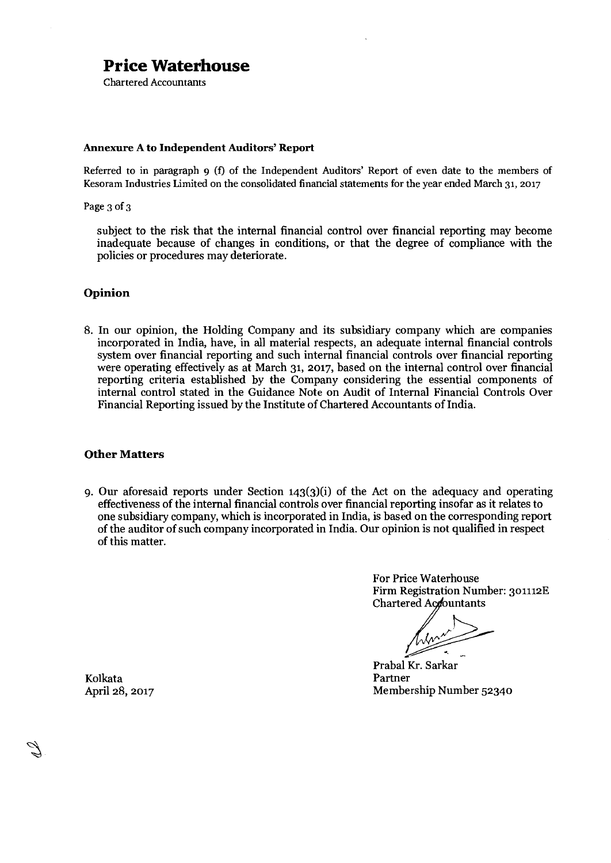Chartered Accountants

#### **Annexure A to Independent Auditors' Report**

Referred to in paragraph 9 (f) of the Independent Auditors' Report of even date to the members of Kesoram Industries Limited on the consolidated financial statements for the year ended March 31, 2017

Page 3 of 3

subject to the risk that the internal financial control over financial reporting may become inadequate because of changes in conditions, or that the degree of compliance with the policies or procedures may deteriorate.

#### **Opinion**

8. In our opinion, the Holding Company and its subsidiary company which are companies incorporated in India, have, in all material respects, an adequate internal financial controls system over financial reporting and such internal financial controls over financial reporting were operating effectively as at March 31, 2017, based on the internal control over financial reporting criteria established by the Company considering the essential components of internal control stated in the Guidance Note on Audit of Internal Financial Controls Over Financial Reporting issued by the Institute of Chartered Accountants of India.

#### **Other Matters**

9. Our aforesaid reports under Section 143(3)(i) of the Act on the adequacy and operating effectiveness of the internal financial controls over financial reporting insofar as it relates to one subsidiary company, which is incorporated in India, is based on the corresponding report of the auditor of such company incorporated in India. Our opinion is not qualified in respect of this matter.

> For Price Waterhouse Firm Registration Number: 301112E Chartered Accountants

Prabal Kr. Sarkar<br>Partner April 28, 2017 Membership Number 52340

Kolkata Partner